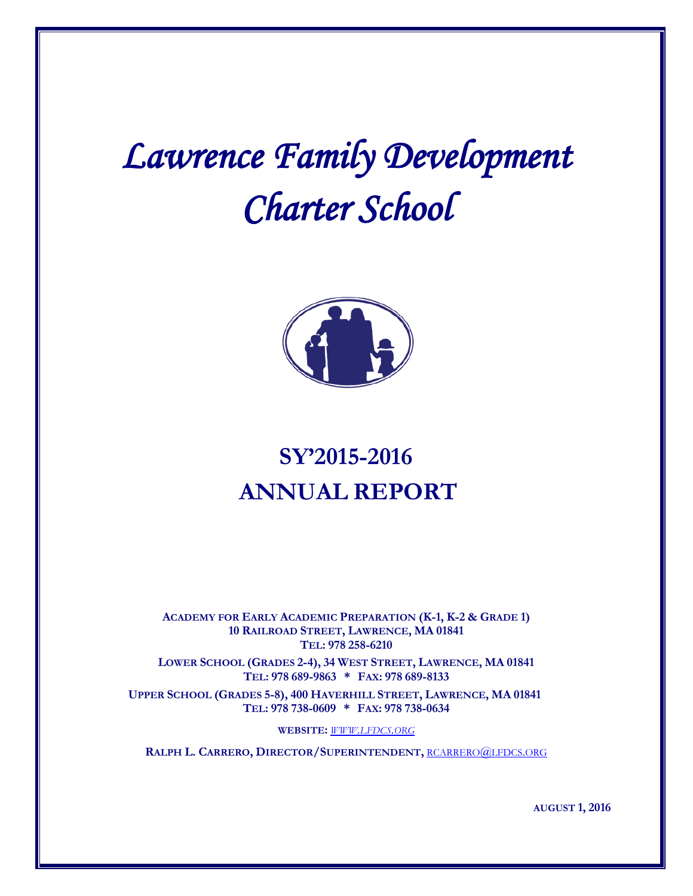# *Lawrence Family Development Charter School*



# **SY'2015-2016 ANNUAL REPORT**

**ACADEMY FOR EARLY ACADEMIC PREPARATION (K-1, K-2 & GRADE 1) 10 RAILROAD STREET, LAWRENCE, MA 01841 TEL: 978 258-6210**

**LOWER SCHOOL (GRADES 2-4), 34 WEST STREET, LAWRENCE, MA 01841 TEL: 978 689-9863 \* FAX: 978 689-8133**

**UPPER SCHOOL (GRADES 5-8), 400 HAVERHILL STREET, LAWRENCE, MA 01841 TEL: 978 738-0609 \* FAX: 978 738-0634**

**WEBSITE:** *[WWW.LFDCS.ORG](http://www.lfdcs.org/)*

**RALPH L. CARRERO, DIRECTOR/SUPERINTENDENT,** [RCARRERO@LFDCS.ORG](mailto:rcarrero@lfdcs.org)

**AUGUST 1, 2016**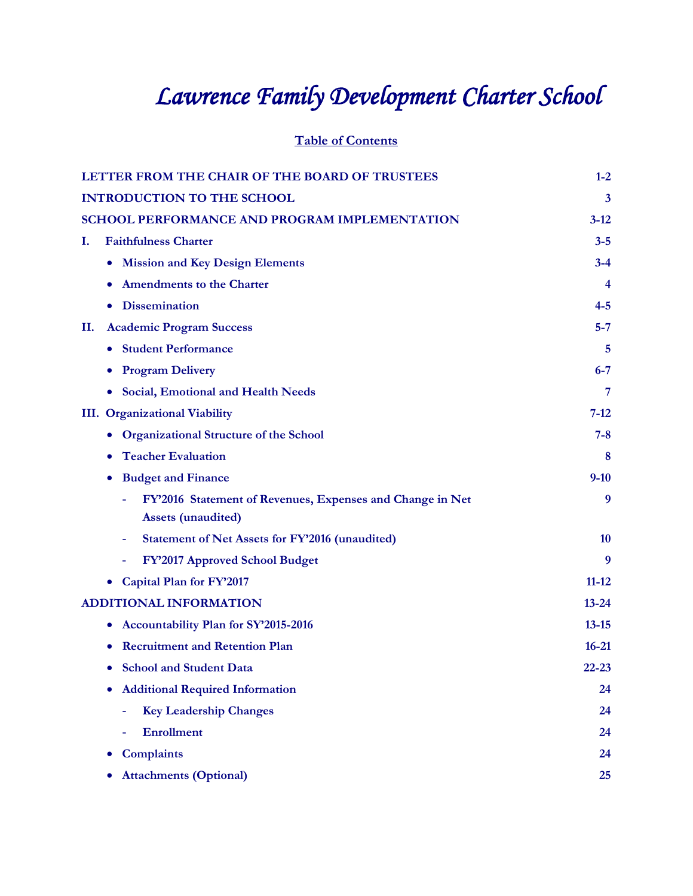# *Lawrence Family Development Charter School*

**Table of Contents**

| LETTER FROM THE CHAIR OF THE BOARD OF TRUSTEES                                         | $1-2$     |
|----------------------------------------------------------------------------------------|-----------|
| <b>INTRODUCTION TO THE SCHOOL</b>                                                      | 3         |
| SCHOOL PERFORMANCE AND PROGRAM IMPLEMENTATION                                          | $3 - 12$  |
| <b>Faithfulness Charter</b><br>Ι.                                                      | $3 - 5$   |
| <b>Mission and Key Design Elements</b><br>$\bullet$                                    | $3 - 4$   |
| <b>Amendments to the Charter</b>                                                       | 4         |
| <b>Dissemination</b>                                                                   | $4 - 5$   |
| <b>Academic Program Success</b><br>П.                                                  | $5 - 7$   |
| <b>Student Performance</b>                                                             | 5         |
| <b>Program Delivery</b>                                                                | $6 - 7$   |
| <b>Social, Emotional and Health Needs</b>                                              | 7         |
| <b>III.</b> Organizational Viability                                                   | $7 - 12$  |
| <b>Organizational Structure of the School</b>                                          | $7 - 8$   |
| <b>Teacher Evaluation</b>                                                              | 8         |
| <b>Budget and Finance</b>                                                              | $9 - 10$  |
| FY'2016 Statement of Revenues, Expenses and Change in Net<br><b>Assets (unaudited)</b> | 9         |
| <b>Statement of Net Assets for FY'2016 (unaudited)</b>                                 | <b>10</b> |
| FY'2017 Approved School Budget                                                         | 9         |
| Capital Plan for FY'2017                                                               | $11 - 12$ |
| <b>ADDITIONAL INFORMATION</b>                                                          | $13 - 24$ |
| Accountability Plan for SY'2015-2016                                                   | $13 - 15$ |
| <b>Recruitment and Retention Plan</b>                                                  | $16 - 21$ |
| <b>School and Student Data</b>                                                         | $22 - 23$ |
| <b>Additional Required Information</b>                                                 | 24        |
| <b>Key Leadership Changes</b>                                                          | 24        |
| <b>Enrollment</b>                                                                      | 24        |
| <b>Complaints</b>                                                                      | 24        |
| <b>Attachments (Optional)</b>                                                          | 25        |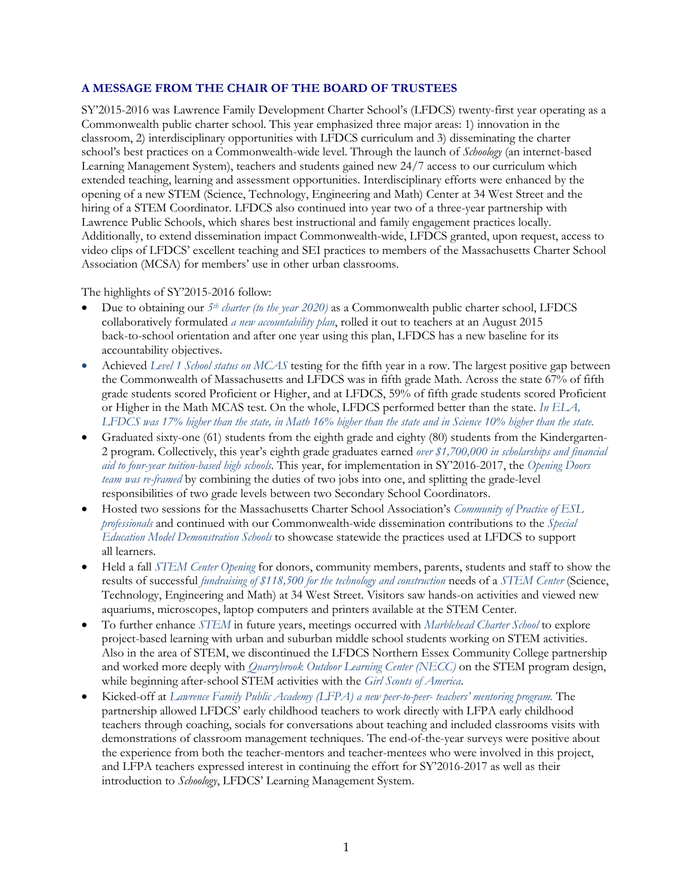#### **A MESSAGE FROM THE CHAIR OF THE BOARD OF TRUSTEES**

SY'2015-2016 was Lawrence Family Development Charter School's (LFDCS) twenty-first year operating as a Commonwealth public charter school. This year emphasized three major areas: 1) innovation in the classroom, 2) interdisciplinary opportunities with LFDCS curriculum and 3) disseminating the charter school's best practices on a Commonwealth-wide level. Through the launch of *Schoology* (an internet-based Learning Management System), teachers and students gained new 24/7 access to our curriculum which extended teaching, learning and assessment opportunities. Interdisciplinary efforts were enhanced by the opening of a new STEM (Science, Technology, Engineering and Math) Center at 34 West Street and the hiring of a STEM Coordinator. LFDCS also continued into year two of a three-year partnership with Lawrence Public Schools, which shares best instructional and family engagement practices locally. Additionally, to extend dissemination impact Commonwealth-wide, LFDCS granted, upon request, access to video clips of LFDCS' excellent teaching and SEI practices to members of the Massachusetts Charter School Association (MCSA) for members' use in other urban classrooms.

The highlights of SY'2015-2016 follow:

- Due to obtaining our *5th charter (to the year 2020)* as a Commonwealth public charter school, LFDCS collaboratively formulated *a new accountability plan*, rolled it out to teachers at an August 2015 back-to-school orientation and after one year using this plan, LFDCS has a new baseline for its accountability objectives.
- Achieved *Level 1 School status on MCAS* testing for the fifth year in a row. The largest positive gap between the Commonwealth of Massachusetts and LFDCS was in fifth grade Math. Across the state 67% of fifth grade students scored Proficient or Higher, and at LFDCS, 59% of fifth grade students scored Proficient or Higher in the Math MCAS test. On the whole, LFDCS performed better than the state. *In ELA, LFDCS was 17% higher than the state, in Math 16% higher than the state and in Science 10% higher than the state.*
- Graduated sixty-one (61) students from the eighth grade and eighty (80) students from the Kindergarten-2 program. Collectively, this year's eighth grade graduates earned *over \$1,700,000 in scholarships and financial aid to four-year tuition-based high schools.* This year, for implementation in SY'2016-2017, the *Opening Doors team was re-framed* by combining the duties of two jobs into one, and splitting the grade-level responsibilities of two grade levels between two Secondary School Coordinators.
- Hosted two sessions for the Massachusetts Charter School Association's *Community of Practice of ESL professionals* and continued with our Commonwealth-wide dissemination contributions to the *Special Education Model Demonstration Schools* to showcase statewide the practices used at LFDCS to support all learners.
- Held a fall *STEM Center Opening* for donors, community members, parents, students and staff to show the results of successful *fundraising of \$118,500 for the technology and construction* needs of a *STEM Center* (Science, Technology, Engineering and Math) at 34 West Street. Visitors saw hands-on activities and viewed new aquariums, microscopes, laptop computers and printers available at the STEM Center.
- To further enhance *STEM* in future years, meetings occurred with *Marblehead Charter School* to explore project-based learning with urban and suburban middle school students working on STEM activities. Also in the area of STEM, we discontinued the LFDCS Northern Essex Community College partnership and worked more deeply with *Quarrybrook Outdoor Learning Center (NECC)* on the STEM program design, while beginning after-school STEM activities with the *Girl Scouts of America*.
- Kicked-off at *Lawrence Family Public Academy (LFPA) a new peer-to-peer- teachers' mentoring program.* The partnership allowed LFDCS' early childhood teachers to work directly with LFPA early childhood teachers through coaching, socials for conversations about teaching and included classrooms visits with demonstrations of classroom management techniques. The end-of-the-year surveys were positive about the experience from both the teacher-mentors and teacher-mentees who were involved in this project, and LFPA teachers expressed interest in continuing the effort for SY'2016-2017 as well as their introduction to *Schoology*, LFDCS' Learning Management System.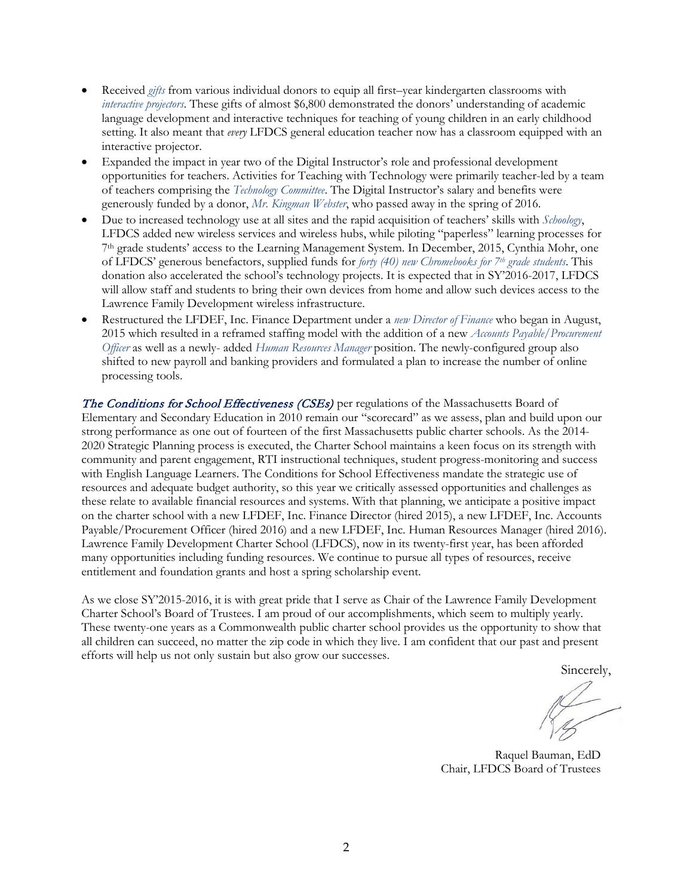- Received *gifts* from various individual donors to equip all first–year kindergarten classrooms with *interactive projectors*. These gifts of almost \$6,800 demonstrated the donors' understanding of academic language development and interactive techniques for teaching of young children in an early childhood setting. It also meant that *every* LFDCS general education teacher now has a classroom equipped with an interactive projector.
- Expanded the impact in year two of the Digital Instructor's role and professional development opportunities for teachers. Activities for Teaching with Technology were primarily teacher-led by a team of teachers comprising the *Technology Committee*. The Digital Instructor's salary and benefits were generously funded by a donor, *Mr. Kingman Webster*, who passed away in the spring of 2016.
- Due to increased technology use at all sites and the rapid acquisition of teachers' skills with *Schoology*, LFDCS added new wireless services and wireless hubs, while piloting "paperless" learning processes for 7th grade students' access to the Learning Management System. In December, 2015, Cynthia Mohr, one of LFDCS' generous benefactors, supplied funds for *forty (40) new Chromebooks for 7th grade students*. This donation also accelerated the school's technology projects. It is expected that in SY'2016-2017, LFDCS will allow staff and students to bring their own devices from home and allow such devices access to the Lawrence Family Development wireless infrastructure.
- Restructured the LFDEF, Inc. Finance Department under a *new Director of Finance* who began in August, 2015 which resulted in a reframed staffing model with the addition of a new *Accounts Payable/Procurement Officer* as well as a newly- added *Human Resources Manager* position. The newly-configured group also shifted to new payroll and banking providers and formulated a plan to increase the number of online processing tools.

The Conditions for School Effectiveness (CSEs) per regulations of the Massachusetts Board of Elementary and Secondary Education in 2010 remain our "scorecard" as we assess, plan and build upon our strong performance as one out of fourteen of the first Massachusetts public charter schools. As the 2014- 2020 Strategic Planning process is executed, the Charter School maintains a keen focus on its strength with community and parent engagement, RTI instructional techniques, student progress-monitoring and success with English Language Learners. The Conditions for School Effectiveness mandate the strategic use of resources and adequate budget authority, so this year we critically assessed opportunities and challenges as these relate to available financial resources and systems. With that planning, we anticipate a positive impact on the charter school with a new LFDEF, Inc. Finance Director (hired 2015), a new LFDEF, Inc. Accounts Payable/Procurement Officer (hired 2016) and a new LFDEF, Inc. Human Resources Manager (hired 2016). Lawrence Family Development Charter School (LFDCS), now in its twenty-first year, has been afforded many opportunities including funding resources. We continue to pursue all types of resources, receive entitlement and foundation grants and host a spring scholarship event.

As we close SY'2015-2016, it is with great pride that I serve as Chair of the Lawrence Family Development Charter School's Board of Trustees. I am proud of our accomplishments, which seem to multiply yearly. These twenty-one years as a Commonwealth public charter school provides us the opportunity to show that all children can succeed, no matter the zip code in which they live. I am confident that our past and present efforts will help us not only sustain but also grow our successes.

Sincerely,

Raquel Bauman, EdD Chair, LFDCS Board of Trustees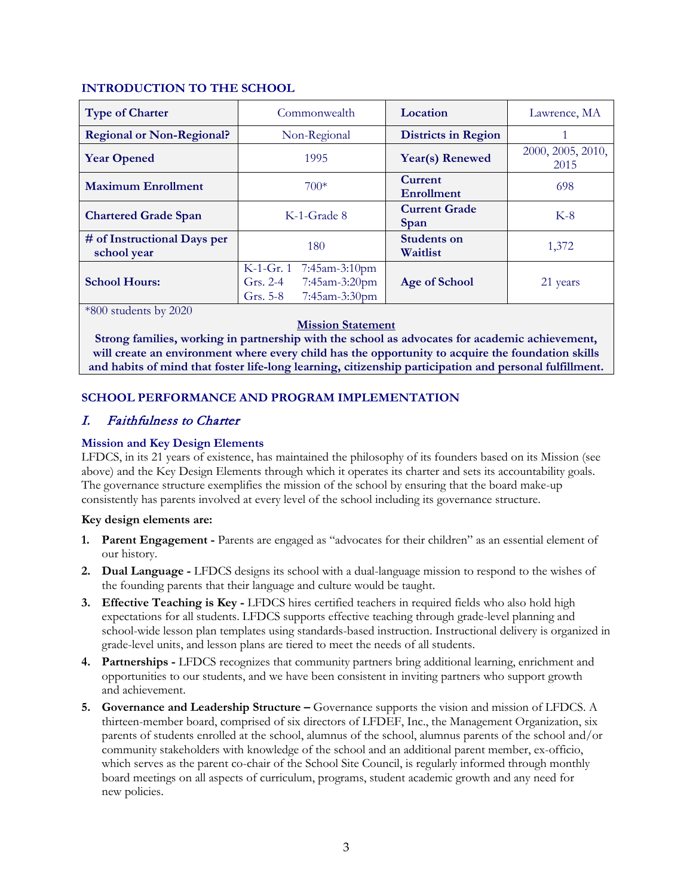# **INTRODUCTION TO THE SCHOOL**

| <b>Type of Charter</b>                     | Commonwealth                                                                          | Location                       | Lawrence, MA              |
|--------------------------------------------|---------------------------------------------------------------------------------------|--------------------------------|---------------------------|
| <b>Regional or Non-Regional?</b>           | Non-Regional                                                                          | <b>Districts in Region</b>     |                           |
| <b>Year Opened</b>                         | 1995                                                                                  | Year(s) Renewed                | 2000, 2005, 2010,<br>2015 |
| <b>Maximum Enrollment</b>                  | $700*$                                                                                | Current<br>Enrollment          | 698                       |
| <b>Chartered Grade Span</b>                | K-1-Grade 8                                                                           | <b>Current Grade</b><br>Span   | $K-8$                     |
| # of Instructional Days per<br>school year | 180                                                                                   | <b>Students on</b><br>Waitlist | 1,372                     |
| <b>School Hours:</b>                       | K-1-Gr. 1 7:45am-3:10pm<br>7:45am-3:20pm<br>Grs. $2-4$<br>7:45am-3:30pm<br>Grs. $5-8$ | Age of School                  | 21 years                  |

\*800 students by 2020

#### **Mission Statement**

**Strong families, working in partnership with the school as advocates for academic achievement, will create an environment where every child has the opportunity to acquire the foundation skills and habits of mind that foster life-long learning, citizenship participation and personal fulfillment.**

# **SCHOOL PERFORMANCE AND PROGRAM IMPLEMENTATION**

# I. Faithfulness to Charter

# **Mission and Key Design Elements**

LFDCS, in its 21 years of existence, has maintained the philosophy of its founders based on its Mission (see above) and the Key Design Elements through which it operates its charter and sets its accountability goals. The governance structure exemplifies the mission of the school by ensuring that the board make-up consistently has parents involved at every level of the school including its governance structure.

#### **Key design elements are:**

- **1. Parent Engagement -** Parents are engaged as "advocates for their children" as an essential element of our history.
- **2. Dual Language -** LFDCS designs its school with a dual-language mission to respond to the wishes of the founding parents that their language and culture would be taught.
- **3. Effective Teaching is Key -** LFDCS hires certified teachers in required fields who also hold high expectations for all students. LFDCS supports effective teaching through grade-level planning and school-wide lesson plan templates using standards-based instruction. Instructional delivery is organized in grade-level units, and lesson plans are tiered to meet the needs of all students.
- **4. Partnerships -** LFDCS recognizes that community partners bring additional learning, enrichment and opportunities to our students, and we have been consistent in inviting partners who support growth and achievement.
- **5. Governance and Leadership Structure –** Governance supports the vision and mission of LFDCS. A thirteen-member board, comprised of six directors of LFDEF, Inc., the Management Organization, six parents of students enrolled at the school, alumnus of the school, alumnus parents of the school and/or community stakeholders with knowledge of the school and an additional parent member, ex-officio, which serves as the parent co-chair of the School Site Council, is regularly informed through monthly board meetings on all aspects of curriculum, programs, student academic growth and any need for new policies.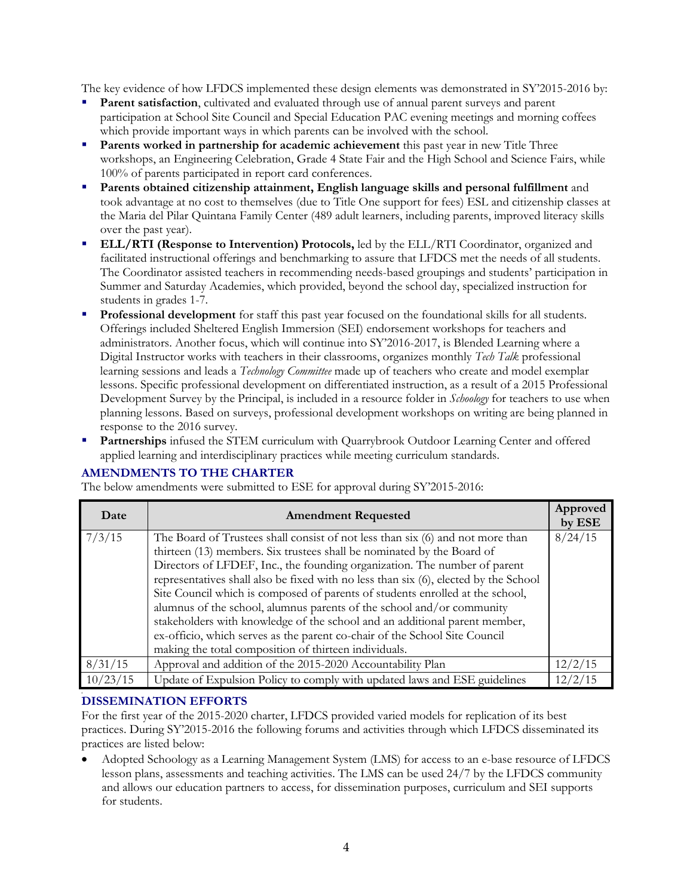The key evidence of how LFDCS implemented these design elements was demonstrated in SY'2015-2016 by:

- Parent satisfaction, cultivated and evaluated through use of annual parent surveys and parent participation at School Site Council and Special Education PAC evening meetings and morning coffees which provide important ways in which parents can be involved with the school.
- **Parents worked in partnership for academic achievement** this past year in new Title Three workshops, an Engineering Celebration, Grade 4 State Fair and the High School and Science Fairs, while 100% of parents participated in report card conferences.
- **Parents obtained citizenship attainment, English language skills and personal fulfillment** and took advantage at no cost to themselves (due to Title One support for fees) ESL and citizenship classes at the Maria del Pilar Quintana Family Center (489 adult learners, including parents, improved literacy skills over the past year).
- **ELL/RTI (Response to Intervention) Protocols,** led by the ELL/RTI Coordinator, organized and facilitated instructional offerings and benchmarking to assure that LFDCS met the needs of all students. The Coordinator assisted teachers in recommending needs-based groupings and students' participation in Summer and Saturday Academies, which provided, beyond the school day, specialized instruction for students in grades 1-7.
- **Professional development** for staff this past year focused on the foundational skills for all students. Offerings included Sheltered English Immersion (SEI) endorsement workshops for teachers and administrators. Another focus, which will continue into SY'2016-2017, is Blended Learning where a Digital Instructor works with teachers in their classrooms, organizes monthly *Tech Talk* professional learning sessions and leads a *Technology Committee* made up of teachers who create and model exemplar lessons. Specific professional development on differentiated instruction, as a result of a 2015 Professional Development Survey by the Principal, is included in a resource folder in *Schoology* for teachers to use when planning lessons. Based on surveys, professional development workshops on writing are being planned in response to the 2016 survey.
- **Partnerships** infused the STEM curriculum with Quarrybrook Outdoor Learning Center and offered applied learning and interdisciplinary practices while meeting curriculum standards.

# **AMENDMENTS TO THE CHARTER**

The below amendments were submitted to ESE for approval during SY'2015-2016:

| Date     | <b>Amendment Requested</b>                                                                                                                                            | Approved<br>by ESE |
|----------|-----------------------------------------------------------------------------------------------------------------------------------------------------------------------|--------------------|
| 7/3/15   | The Board of Trustees shall consist of not less than six (6) and not more than<br>thirteen (13) members. Six trustees shall be nominated by the Board of              | 8/24/15            |
|          | Directors of LFDEF, Inc., the founding organization. The number of parent                                                                                             |                    |
|          | representatives shall also be fixed with no less than six (6), elected by the School<br>Site Council which is composed of parents of students enrolled at the school, |                    |
|          | alumnus of the school, alumnus parents of the school and/or community                                                                                                 |                    |
|          | stakeholders with knowledge of the school and an additional parent member,                                                                                            |                    |
|          | ex-officio, which serves as the parent co-chair of the School Site Council<br>making the total composition of thirteen individuals.                                   |                    |
| 8/31/15  | Approval and addition of the 2015-2020 Accountability Plan                                                                                                            | 12/2/15            |
| 10/23/15 | Update of Expulsion Policy to comply with updated laws and ESE guidelines                                                                                             | 12/2/15            |

#### a **DISSEMINATION EFFORTS**

For the first year of the 2015-2020 charter, LFDCS provided varied models for replication of its best practices. During SY'2015-2016 the following forums and activities through which LFDCS disseminated its practices are listed below:

• Adopted Schoology as a Learning Management System (LMS) for access to an e-base resource of LFDCS lesson plans, assessments and teaching activities. The LMS can be used 24/7 by the LFDCS community and allows our education partners to access, for dissemination purposes, curriculum and SEI supports for students.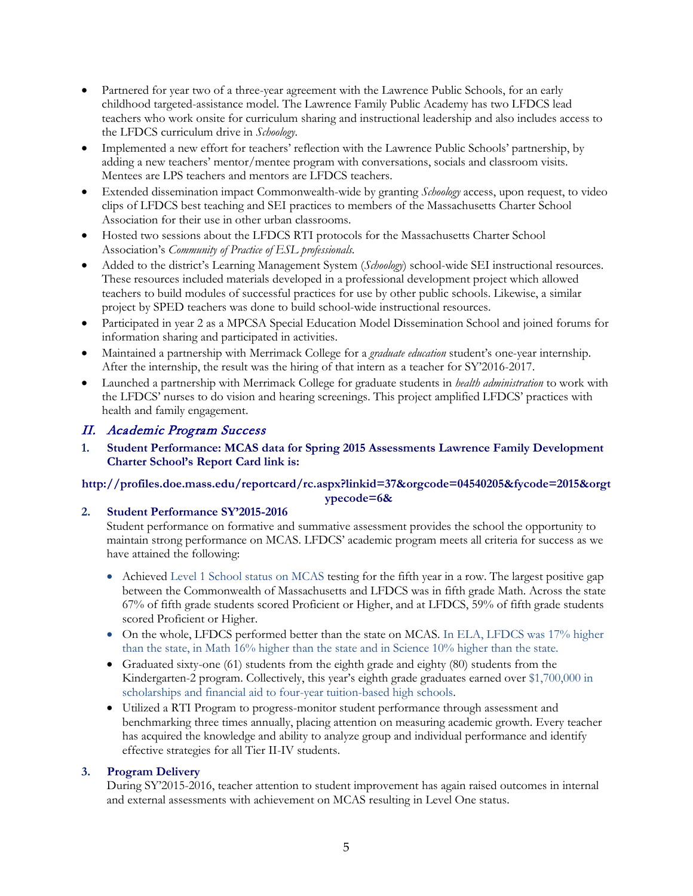- Partnered for year two of a three-year agreement with the Lawrence Public Schools, for an early childhood targeted-assistance model. The Lawrence Family Public Academy has two LFDCS lead teachers who work onsite for curriculum sharing and instructional leadership and also includes access to the LFDCS curriculum drive in *Schoology*.
- Implemented a new effort for teachers' reflection with the Lawrence Public Schools' partnership, by adding a new teachers' mentor/mentee program with conversations, socials and classroom visits. Mentees are LPS teachers and mentors are LFDCS teachers.
- Extended dissemination impact Commonwealth-wide by granting *Schoology* access, upon request, to video clips of LFDCS best teaching and SEI practices to members of the Massachusetts Charter School Association for their use in other urban classrooms.
- Hosted two sessions about the LFDCS RTI protocols for the Massachusetts Charter School Association's *Community of Practice of ESL professionals.*
- Added to the district's Learning Management System (*Schoology*) school-wide SEI instructional resources. These resources included materials developed in a professional development project which allowed teachers to build modules of successful practices for use by other public schools. Likewise, a similar project by SPED teachers was done to build school-wide instructional resources.
- Participated in year 2 as a MPCSA Special Education Model Dissemination School and joined forums for information sharing and participated in activities.
- Maintained a partnership with Merrimack College for a *graduate education* student's one-year internship. After the internship, the result was the hiring of that intern as a teacher for SY'2016-2017.
- Launched a partnership with Merrimack College for graduate students in *health administration* to work with the LFDCS' nurses to do vision and hearing screenings. This project amplified LFDCS' practices with health and family engagement.

# II. Academic Program Success

**1. Student Performance: MCAS data for Spring 2015 Assessments Lawrence Family Development Charter School's Report Card link is:**

# **http://profiles.doe.mass.edu/reportcard/rc.aspx?linkid=37&orgcode=04540205&fycode=2015&orgt**

# **ypecode=6&**

# **2. Student Performance SY'2015-2016**

Student performance on formative and summative assessment provides the school the opportunity to maintain strong performance on MCAS. LFDCS' academic program meets all criteria for success as we have attained the following:

- Achieved Level 1 School status on MCAS testing for the fifth year in a row. The largest positive gap between the Commonwealth of Massachusetts and LFDCS was in fifth grade Math. Across the state 67% of fifth grade students scored Proficient or Higher, and at LFDCS, 59% of fifth grade students scored Proficient or Higher.
- On the whole, LFDCS performed better than the state on MCAS. In ELA, LFDCS was 17% higher than the state, in Math 16% higher than the state and in Science 10% higher than the state.
- Graduated sixty-one (61) students from the eighth grade and eighty (80) students from the Kindergarten-2 program. Collectively, this year's eighth grade graduates earned over \$1,700,000 in scholarships and financial aid to four-year tuition-based high schools.
- Utilized a RTI Program to progress-monitor student performance through assessment and benchmarking three times annually, placing attention on measuring academic growth. Every teacher has acquired the knowledge and ability to analyze group and individual performance and identify effective strategies for all Tier II-IV students.

# **3. Program Delivery**

During SY'2015-2016, teacher attention to student improvement has again raised outcomes in internal and external assessments with achievement on MCAS resulting in Level One status.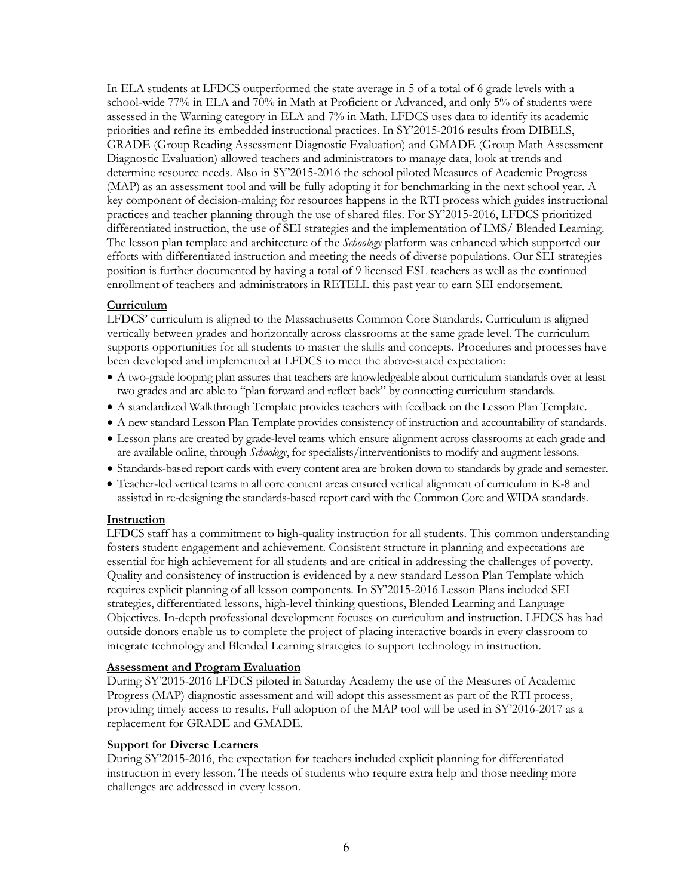In ELA students at LFDCS outperformed the state average in 5 of a total of 6 grade levels with a school-wide 77% in ELA and 70% in Math at Proficient or Advanced, and only 5% of students were assessed in the Warning category in ELA and 7% in Math. LFDCS uses data to identify its academic priorities and refine its embedded instructional practices. In SY'2015-2016 results from DIBELS, GRADE (Group Reading Assessment Diagnostic Evaluation) and GMADE (Group Math Assessment Diagnostic Evaluation) allowed teachers and administrators to manage data, look at trends and determine resource needs. Also in SY'2015-2016 the school piloted Measures of Academic Progress (MAP) as an assessment tool and will be fully adopting it for benchmarking in the next school year. A key component of decision-making for resources happens in the RTI process which guides instructional practices and teacher planning through the use of shared files. For SY'2015-2016, LFDCS prioritized differentiated instruction, the use of SEI strategies and the implementation of LMS/ Blended Learning. The lesson plan template and architecture of the *Schoology* platform was enhanced which supported our efforts with differentiated instruction and meeting the needs of diverse populations. Our SEI strategies position is further documented by having a total of 9 licensed ESL teachers as well as the continued enrollment of teachers and administrators in RETELL this past year to earn SEI endorsement.

# **Curriculum**

LFDCS' curriculum is aligned to the Massachusetts Common Core Standards. Curriculum is aligned vertically between grades and horizontally across classrooms at the same grade level. The curriculum supports opportunities for all students to master the skills and concepts. Procedures and processes have been developed and implemented at LFDCS to meet the above-stated expectation:

- A two-grade looping plan assures that teachers are knowledgeable about curriculum standards over at least two grades and are able to "plan forward and reflect back" by connecting curriculum standards.
- A standardized Walkthrough Template provides teachers with feedback on the Lesson Plan Template.
- A new standard Lesson Plan Template provides consistency of instruction and accountability of standards.
- Lesson plans are created by grade-level teams which ensure alignment across classrooms at each grade and are available online, through *Schoology*, for specialists/interventionists to modify and augment lessons.
- Standards-based report cards with every content area are broken down to standards by grade and semester.
- Teacher-led vertical teams in all core content areas ensured vertical alignment of curriculum in K-8 and assisted in re-designing the standards-based report card with the Common Core and WIDA standards.

# **Instruction**

LFDCS staff has a commitment to high-quality instruction for all students. This common understanding fosters student engagement and achievement. Consistent structure in planning and expectations are essential for high achievement for all students and are critical in addressing the challenges of poverty. Quality and consistency of instruction is evidenced by a new standard Lesson Plan Template which requires explicit planning of all lesson components. In SY'2015-2016 Lesson Plans included SEI strategies, differentiated lessons, high-level thinking questions, Blended Learning and Language Objectives. In-depth professional development focuses on curriculum and instruction. LFDCS has had outside donors enable us to complete the project of placing interactive boards in every classroom to integrate technology and Blended Learning strategies to support technology in instruction.

# **Assessment and Program Evaluation**

During SY'2015-2016 LFDCS piloted in Saturday Academy the use of the Measures of Academic Progress (MAP) diagnostic assessment and will adopt this assessment as part of the RTI process, providing timely access to results. Full adoption of the MAP tool will be used in SY'2016-2017 as a replacement for GRADE and GMADE.

#### **Support for Diverse Learners**

During SY'2015-2016, the expectation for teachers included explicit planning for differentiated instruction in every lesson. The needs of students who require extra help and those needing more challenges are addressed in every lesson.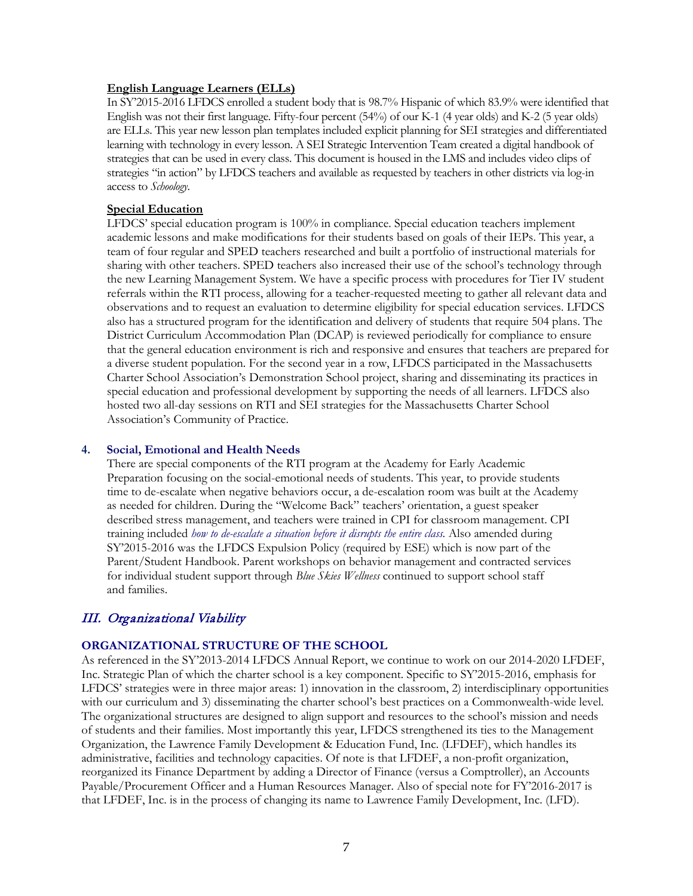#### **English Language Learners (ELLs)**

In SY'2015-2016 LFDCS enrolled a student body that is 98.7% Hispanic of which 83.9% were identified that English was not their first language. Fifty-four percent (54%) of our K-1 (4 year olds) and K-2 (5 year olds) are ELLs. This year new lesson plan templates included explicit planning for SEI strategies and differentiated learning with technology in every lesson. A SEI Strategic Intervention Team created a digital handbook of strategies that can be used in every class. This document is housed in the LMS and includes video clips of strategies "in action" by LFDCS teachers and available as requested by teachers in other districts via log-in access to *Schoology*.

#### **Special Education**

LFDCS' special education program is 100% in compliance. Special education teachers implement academic lessons and make modifications for their students based on goals of their IEPs. This year, a team of four regular and SPED teachers researched and built a portfolio of instructional materials for sharing with other teachers. SPED teachers also increased their use of the school's technology through the new Learning Management System. We have a specific process with procedures for Tier IV student referrals within the RTI process, allowing for a teacher-requested meeting to gather all relevant data and observations and to request an evaluation to determine eligibility for special education services. LFDCS also has a structured program for the identification and delivery of students that require 504 plans. The District Curriculum Accommodation Plan (DCAP) is reviewed periodically for compliance to ensure that the general education environment is rich and responsive and ensures that teachers are prepared for a diverse student population. For the second year in a row, LFDCS participated in the Massachusetts Charter School Association's Demonstration School project, sharing and disseminating its practices in special education and professional development by supporting the needs of all learners. LFDCS also hosted two all-day sessions on RTI and SEI strategies for the Massachusetts Charter School Association's Community of Practice.

#### **4. Social, Emotional and Health Needs**

There are special components of the RTI program at the Academy for Early Academic Preparation focusing on the social-emotional needs of students. This year, to provide students time to de-escalate when negative behaviors occur, a de-escalation room was built at the Academy as needed for children. During the "Welcome Back" teachers' orientation, a guest speaker described stress management, and teachers were trained in CPI for classroom management. CPI training included *how to de-escalate a situation before it disrupts the entire class.* Also amended during SY'2015-2016 was the LFDCS Expulsion Policy (required by ESE) which is now part of the Parent/Student Handbook. Parent workshops on behavior management and contracted services for individual student support through *Blue Skies Wellness* continued to support school staff and families.

# III. Organizational Viability

# **ORGANIZATIONAL STRUCTURE OF THE SCHOOL**

As referenced in the SY'2013-2014 LFDCS Annual Report, we continue to work on our 2014-2020 LFDEF, Inc. Strategic Plan of which the charter school is a key component. Specific to SY'2015-2016, emphasis for LFDCS' strategies were in three major areas: 1) innovation in the classroom, 2) interdisciplinary opportunities with our curriculum and 3) disseminating the charter school's best practices on a Commonwealth-wide level. The organizational structures are designed to align support and resources to the school's mission and needs of students and their families. Most importantly this year, LFDCS strengthened its ties to the Management Organization, the Lawrence Family Development & Education Fund, Inc. (LFDEF), which handles its administrative, facilities and technology capacities. Of note is that LFDEF, a non-profit organization, reorganized its Finance Department by adding a Director of Finance (versus a Comptroller), an Accounts Payable/Procurement Officer and a Human Resources Manager. Also of special note for FY'2016-2017 is that LFDEF, Inc. is in the process of changing its name to Lawrence Family Development, Inc. (LFD).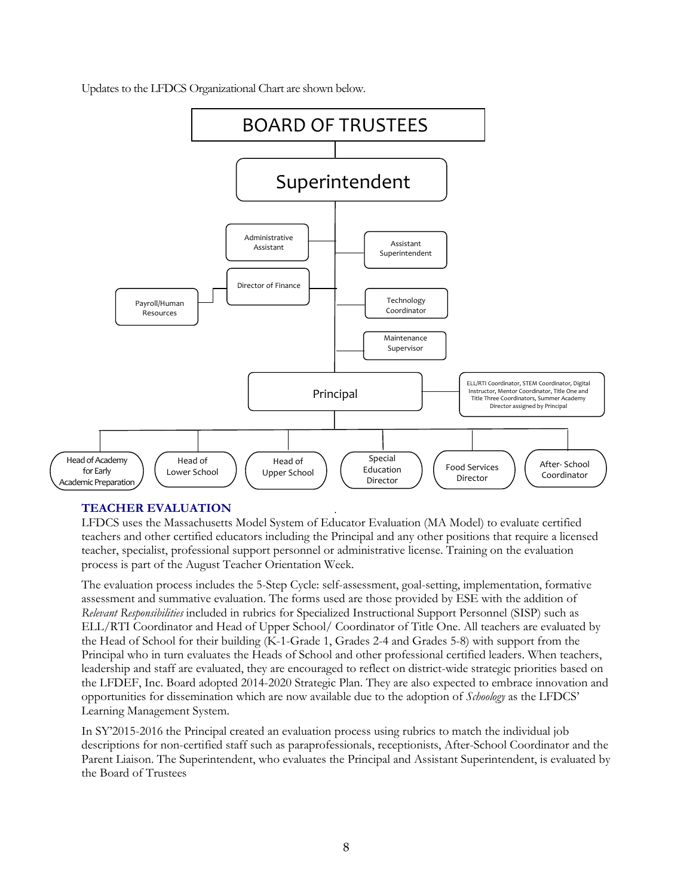Updates to the LFDCS Organizational Chart are shown below.



# **TEACHER EVALUATION**

LFDCS uses the Massachusetts Model System of Educator Evaluation (MA Model) to evaluate certified teachers and other certified educators including the Principal and any other positions that require a licensed teacher, specialist, professional support personnel or administrative license. Training on the evaluation process is part of the August Teacher Orientation Week.

The evaluation process includes the 5-Step Cycle: self-assessment, goal-setting, implementation, formative assessment and summative evaluation. The forms used are those provided by ESE with the addition of *Relevant Responsibilities* included in rubrics for Specialized Instructional Support Personnel (SISP) such as ELL/RTI Coordinator and Head of Upper School/ Coordinator of Title One. All teachers are evaluated by the Head of School for their building (K-1-Grade 1, Grades 2-4 and Grades 5-8) with support from the Principal who in turn evaluates the Heads of School and other professional certified leaders. When teachers, leadership and staff are evaluated, they are encouraged to reflect on district-wide strategic priorities based on the LFDEF, Inc. Board adopted 2014-2020 Strategic Plan. They are also expected to embrace innovation and opportunities for dissemination which are now available due to the adoption of *Schoology* as the LFDCS' Learning Management System.

In SY'2015-2016 the Principal created an evaluation process using rubrics to match the individual job descriptions for non-certified staff such as paraprofessionals, receptionists, After-School Coordinator and the Parent Liaison. The Superintendent, who evaluates the Principal and Assistant Superintendent, is evaluated by the Board of Trustees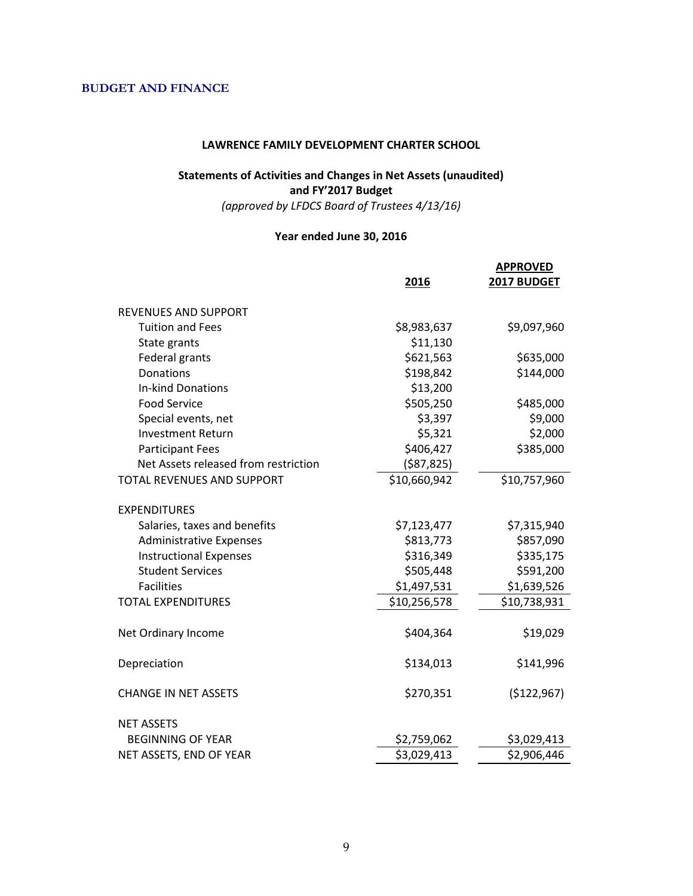# **BUDGET AND FINANCE**

#### **LAWRENCE FAMILY DEVELOPMENT CHARTER SCHOOL**

# **Statements of Activities and Changes in Net Assets (unaudited) and FY'2017 Budget**

*(approved by LFDCS Board of Trustees 4/13/16)*

# **Year ended June 30, 2016**

|                                      | 2016         | <b>APPROVED</b><br>2017 BUDGET |
|--------------------------------------|--------------|--------------------------------|
| <b>REVENUES AND SUPPORT</b>          |              |                                |
| <b>Tuition and Fees</b>              | \$8,983,637  | \$9,097,960                    |
| State grants                         | \$11,130     |                                |
| Federal grants                       | \$621,563    | \$635,000                      |
| Donations                            | \$198,842    | \$144,000                      |
| <b>In-kind Donations</b>             | \$13,200     |                                |
| <b>Food Service</b>                  | \$505,250    | \$485,000                      |
| Special events, net                  | \$3,397      | \$9,000                        |
| <b>Investment Return</b>             | \$5,321      | \$2,000                        |
| <b>Participant Fees</b>              | \$406,427    | \$385,000                      |
| Net Assets released from restriction | (587, 825)   |                                |
| <b>TOTAL REVENUES AND SUPPORT</b>    | \$10,660,942 | \$10,757,960                   |
| <b>EXPENDITURES</b>                  |              |                                |
| Salaries, taxes and benefits         | \$7,123,477  | \$7,315,940                    |
| <b>Administrative Expenses</b>       | \$813,773    | \$857,090                      |
| <b>Instructional Expenses</b>        | \$316,349    | \$335,175                      |
| <b>Student Services</b>              | \$505,448    | \$591,200                      |
| <b>Facilities</b>                    | \$1,497,531  | \$1,639,526                    |
| <b>TOTAL EXPENDITURES</b>            | \$10,256,578 | \$10,738,931                   |
| Net Ordinary Income                  | \$404,364    | \$19,029                       |
| Depreciation                         | \$134,013    | \$141,996                      |
| <b>CHANGE IN NET ASSETS</b>          | \$270,351    | (\$122,967)                    |
| <b>NET ASSETS</b>                    |              |                                |
| <b>BEGINNING OF YEAR</b>             | \$2,759,062  | \$3,029,413                    |
| NET ASSETS, END OF YEAR              | \$3,029,413  | \$2,906,446                    |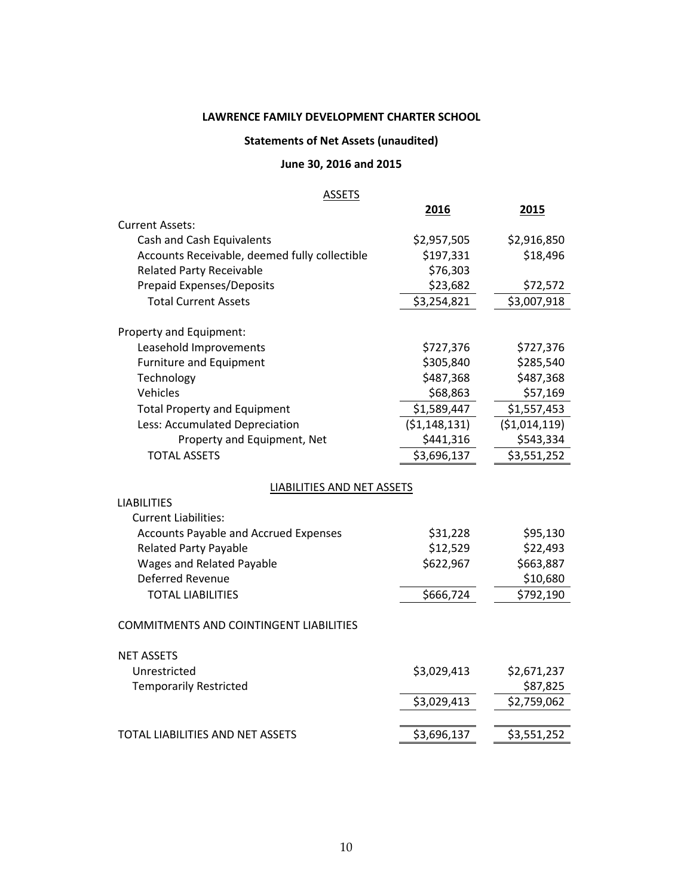# **LAWRENCE FAMILY DEVELOPMENT CHARTER SCHOOL**

# **Statements of Net Assets (unaudited)**

# **June 30, 2016 and 2015**

#### **ASSETS**

|                                                | 2016           | 2015          |
|------------------------------------------------|----------------|---------------|
| <b>Current Assets:</b>                         |                |               |
| Cash and Cash Equivalents                      | \$2,957,505    | \$2,916,850   |
| Accounts Receivable, deemed fully collectible  | \$197,331      | \$18,496      |
| <b>Related Party Receivable</b>                | \$76,303       |               |
| <b>Prepaid Expenses/Deposits</b>               | \$23,682       | \$72,572      |
| <b>Total Current Assets</b>                    | \$3,254,821    | \$3,007,918   |
| Property and Equipment:                        |                |               |
| Leasehold Improvements                         | \$727,376      | \$727,376     |
| <b>Furniture and Equipment</b>                 | \$305,840      | \$285,540     |
| Technology                                     | \$487,368      | \$487,368     |
| Vehicles                                       | \$68,863       | \$57,169      |
| <b>Total Property and Equipment</b>            | \$1,589,447    | \$1,557,453   |
| Less: Accumulated Depreciation                 | (51, 148, 131) | (\$1,014,119) |
| Property and Equipment, Net                    | \$441,316      | \$543,334     |
| <b>TOTAL ASSETS</b>                            | \$3,696,137    | \$3,551,252   |
| LIABILITIES AND NET ASSETS                     |                |               |
| <b>LIABILITIES</b>                             |                |               |
| <b>Current Liabilities:</b>                    |                |               |
| <b>Accounts Payable and Accrued Expenses</b>   | \$31,228       | \$95,130      |
| <b>Related Party Payable</b>                   | \$12,529       | \$22,493      |
| <b>Wages and Related Payable</b>               | \$622,967      | \$663,887     |
| Deferred Revenue                               |                | \$10,680      |
| <b>TOTAL LIABILITIES</b>                       | \$666,724      | \$792,190     |
| <b>COMMITMENTS AND COINTINGENT LIABILITIES</b> |                |               |
| <b>NET ASSETS</b>                              |                |               |
| Unrestricted                                   | \$3,029,413    | \$2,671,237   |
| <b>Temporarily Restricted</b>                  |                | \$87,825      |
|                                                | \$3,029,413    | \$2,759,062   |
|                                                |                |               |
| TOTAL LIABILITIES AND NET ASSETS               | \$3,696,137    | \$3,551,252   |
|                                                |                |               |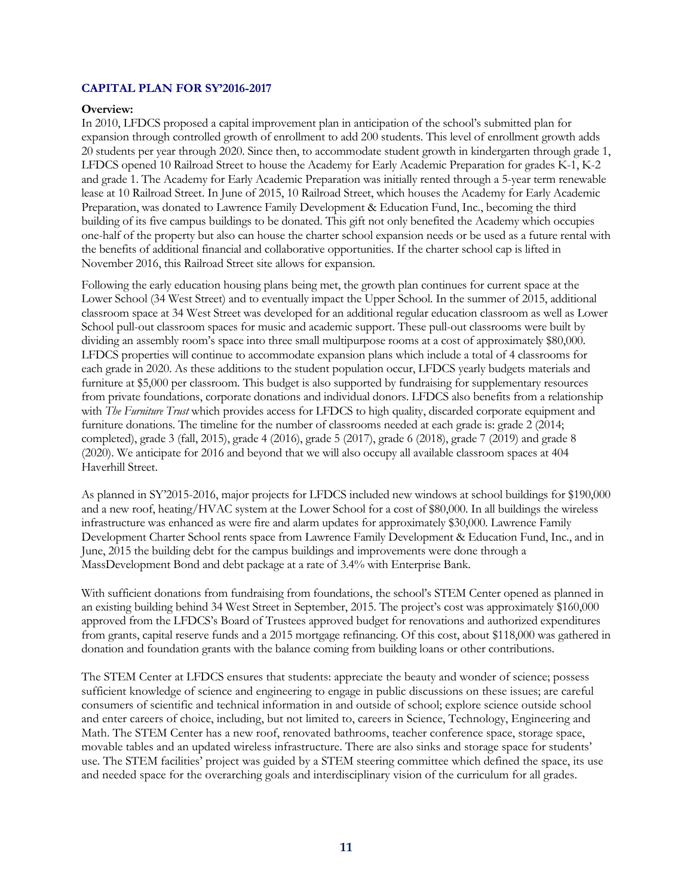#### **CAPITAL PLAN FOR SY'2016-2017**

#### **Overview:**

In 2010, LFDCS proposed a capital improvement plan in anticipation of the school's submitted plan for expansion through controlled growth of enrollment to add 200 students. This level of enrollment growth adds 20 students per year through 2020. Since then, to accommodate student growth in kindergarten through grade 1, LFDCS opened 10 Railroad Street to house the Academy for Early Academic Preparation for grades K-1, K-2 and grade 1. The Academy for Early Academic Preparation was initially rented through a 5-year term renewable lease at 10 Railroad Street. In June of 2015, 10 Railroad Street, which houses the Academy for Early Academic Preparation, was donated to Lawrence Family Development & Education Fund, Inc., becoming the third building of its five campus buildings to be donated. This gift not only benefited the Academy which occupies one-half of the property but also can house the charter school expansion needs or be used as a future rental with the benefits of additional financial and collaborative opportunities. If the charter school cap is lifted in November 2016, this Railroad Street site allows for expansion.

Following the early education housing plans being met, the growth plan continues for current space at the Lower School (34 West Street) and to eventually impact the Upper School. In the summer of 2015, additional classroom space at 34 West Street was developed for an additional regular education classroom as well as Lower School pull-out classroom spaces for music and academic support. These pull-out classrooms were built by dividing an assembly room's space into three small multipurpose rooms at a cost of approximately \$80,000. LFDCS properties will continue to accommodate expansion plans which include a total of 4 classrooms for each grade in 2020. As these additions to the student population occur, LFDCS yearly budgets materials and furniture at \$5,000 per classroom. This budget is also supported by fundraising for supplementary resources from private foundations, corporate donations and individual donors. LFDCS also benefits from a relationship with *The Furniture Trust* which provides access for LFDCS to high quality, discarded corporate equipment and furniture donations. The timeline for the number of classrooms needed at each grade is: grade 2 (2014; completed), grade 3 (fall, 2015), grade 4 (2016), grade 5 (2017), grade 6 (2018), grade 7 (2019) and grade 8 (2020). We anticipate for 2016 and beyond that we will also occupy all available classroom spaces at 404 Haverhill Street.

As planned in SY'2015-2016, major projects for LFDCS included new windows at school buildings for \$190,000 and a new roof, heating/HVAC system at the Lower School for a cost of \$80,000. In all buildings the wireless infrastructure was enhanced as were fire and alarm updates for approximately \$30,000. Lawrence Family Development Charter School rents space from Lawrence Family Development & Education Fund, Inc., and in June, 2015 the building debt for the campus buildings and improvements were done through a MassDevelopment Bond and debt package at a rate of 3.4% with Enterprise Bank.

With sufficient donations from fundraising from foundations, the school's STEM Center opened as planned in an existing building behind 34 West Street in September, 2015. The project's cost was approximately \$160,000 approved from the LFDCS's Board of Trustees approved budget for renovations and authorized expenditures from grants, capital reserve funds and a 2015 mortgage refinancing. Of this cost, about \$118,000 was gathered in donation and foundation grants with the balance coming from building loans or other contributions.

The STEM Center at LFDCS ensures that students: appreciate the beauty and wonder of science; possess sufficient knowledge of science and engineering to engage in public discussions on these issues; are careful consumers of scientific and technical information in and outside of school; explore science outside school and enter careers of choice, including, but not limited to, careers in Science, Technology, Engineering and Math. The STEM Center has a new roof, renovated bathrooms, teacher conference space, storage space, movable tables and an updated wireless infrastructure. There are also sinks and storage space for students' use. The STEM facilities' project was guided by a STEM steering committee which defined the space, its use and needed space for the overarching goals and interdisciplinary vision of the curriculum for all grades.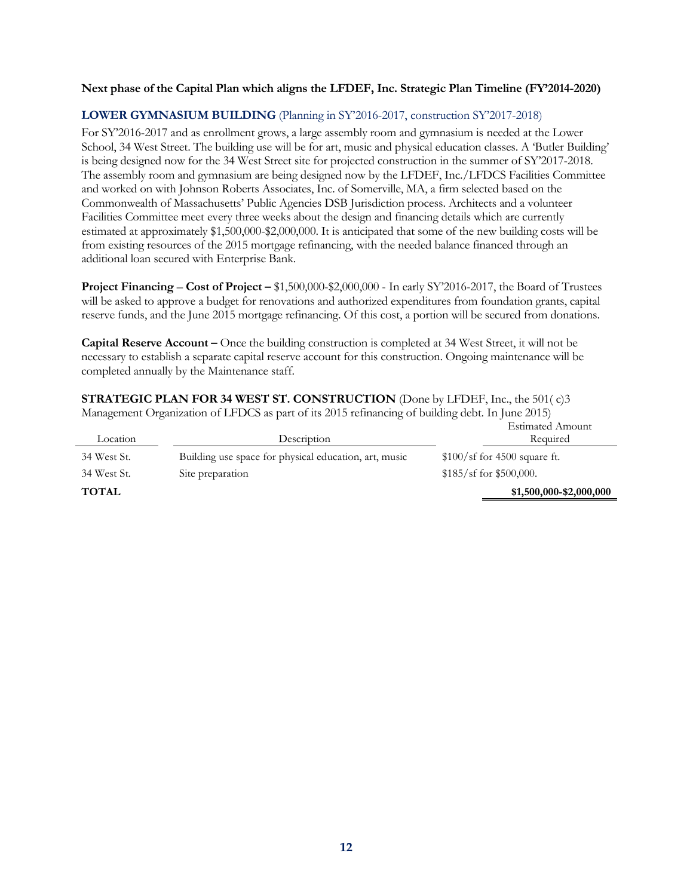#### **Next phase of the Capital Plan which aligns the LFDEF, Inc. Strategic Plan Timeline (FY'2014-2020)**

# **LOWER GYMNASIUM BUILDING** (Planning in SY'2016-2017, construction SY'2017-2018)

For SY'2016-2017 and as enrollment grows, a large assembly room and gymnasium is needed at the Lower School, 34 West Street. The building use will be for art, music and physical education classes. A 'Butler Building' is being designed now for the 34 West Street site for projected construction in the summer of SY'2017-2018. The assembly room and gymnasium are being designed now by the LFDEF, Inc./LFDCS Facilities Committee and worked on with Johnson Roberts Associates, Inc. of Somerville, MA, a firm selected based on the Commonwealth of Massachusetts' Public Agencies DSB Jurisdiction process. Architects and a volunteer Facilities Committee meet every three weeks about the design and financing details which are currently estimated at approximately \$1,500,000-\$2,000,000. It is anticipated that some of the new building costs will be from existing resources of the 2015 mortgage refinancing, with the needed balance financed through an additional loan secured with Enterprise Bank.

**Project Financing** – **Cost of Project –** \$1,500,000-\$2,000,000 - In early SY'2016-2017, the Board of Trustees will be asked to approve a budget for renovations and authorized expenditures from foundation grants, capital reserve funds, and the June 2015 mortgage refinancing. Of this cost, a portion will be secured from donations.

**Capital Reserve Account –** Once the building construction is completed at 34 West Street, it will not be necessary to establish a separate capital reserve account for this construction. Ongoing maintenance will be completed annually by the Maintenance staff.

**STRATEGIC PLAN FOR 34 WEST ST. CONSTRUCTION** (Done by LFDEF, Inc., the 501( c)3 Management Organization of LFDCS as part of its 2015 refinancing of building debt. In June 2015) Estimated Amount

| Location     | Description                                           | Estimated Amount<br>Required  |
|--------------|-------------------------------------------------------|-------------------------------|
| 34 West St.  | Building use space for physical education, art, music | $$100/sf$ for 4500 square ft. |
| 34 West St.  | Site preparation                                      | $$185/sf$ for \$500,000.      |
| <b>TOTAL</b> |                                                       | \$1,500,000-\$2,000,000       |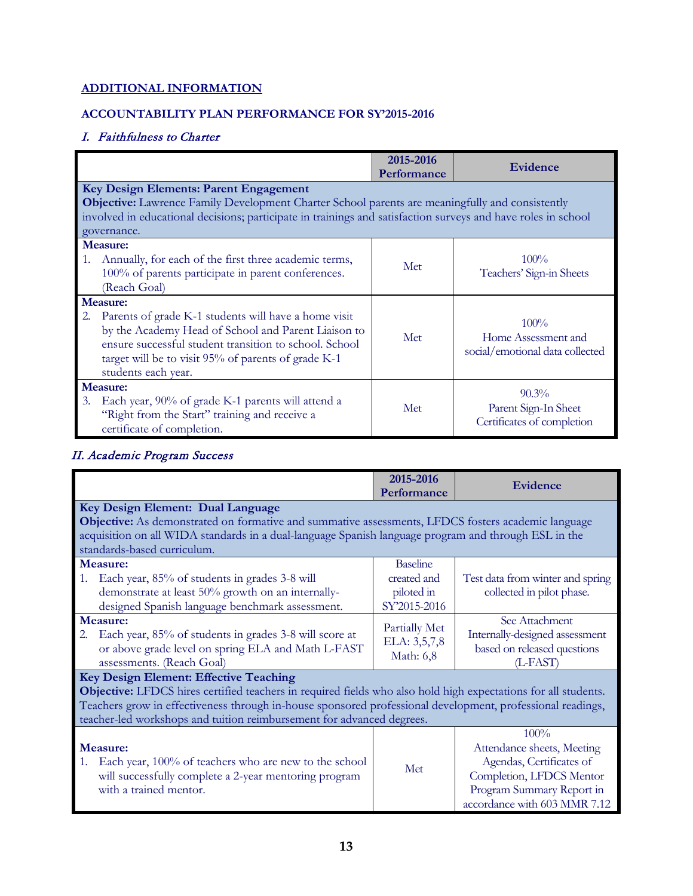# **ADDITIONAL INFORMATION**

# **ACCOUNTABILITY PLAN PERFORMANCE FOR SY'2015-2016**

# I. Faithfulness to Charter

|                                                          |                                                                                                               | 2015-2016<br>Performance | <b>Evidence</b>                 |
|----------------------------------------------------------|---------------------------------------------------------------------------------------------------------------|--------------------------|---------------------------------|
| Key Design Elements: Parent Engagement                   |                                                                                                               |                          |                                 |
|                                                          | <b>Objective:</b> Lawrence Family Development Charter School parents are meaningfully and consistently        |                          |                                 |
|                                                          | involved in educational decisions; participate in trainings and satisfaction surveys and have roles in school |                          |                                 |
| governance.                                              |                                                                                                               |                          |                                 |
| Measure:                                                 |                                                                                                               |                          |                                 |
| 1. Annually, for each of the first three academic terms, |                                                                                                               | Met                      | $100\%$                         |
|                                                          | 100% of parents participate in parent conferences.                                                            |                          | Teachers' Sign-in Sheets        |
| (Reach Goal)                                             |                                                                                                               |                          |                                 |
| <b>Measure:</b>                                          |                                                                                                               |                          |                                 |
| <sup>2.</sup>                                            | Parents of grade K-1 students will have a home visit                                                          |                          | $100\%$                         |
|                                                          | by the Academy Head of School and Parent Liaison to                                                           | Met                      | Home Assessment and             |
|                                                          | ensure successful student transition to school. School                                                        |                          | social/emotional data collected |
| target will be to visit 95% of parents of grade K-1      |                                                                                                               |                          |                                 |
| students each year.                                      |                                                                                                               |                          |                                 |
| <b>Measure:</b>                                          |                                                                                                               |                          | $90.3\%$                        |
| Each year, 90% of grade K-1 parents will attend a<br>3.  |                                                                                                               | Met                      | Parent Sign-In Sheet            |
| "Right from the Start" training and receive a            |                                                                                                               |                          | Certificates of completion      |
| certificate of completion.                               |                                                                                                               |                          |                                 |

# II. Academic Program Success

|                                                                                                                                                                                                                                                                                                                                                        | 2015-2016<br>Performance                                     | Evidence                                                                                                                                                |
|--------------------------------------------------------------------------------------------------------------------------------------------------------------------------------------------------------------------------------------------------------------------------------------------------------------------------------------------------------|--------------------------------------------------------------|---------------------------------------------------------------------------------------------------------------------------------------------------------|
| Key Design Element: Dual Language                                                                                                                                                                                                                                                                                                                      |                                                              |                                                                                                                                                         |
| Objective: As demonstrated on formative and summative assessments, LFDCS fosters academic language                                                                                                                                                                                                                                                     |                                                              |                                                                                                                                                         |
| acquisition on all WIDA standards in a dual-language Spanish language program and through ESL in the                                                                                                                                                                                                                                                   |                                                              |                                                                                                                                                         |
| standards-based curriculum.                                                                                                                                                                                                                                                                                                                            |                                                              |                                                                                                                                                         |
| Measure:<br>Each year, 85% of students in grades 3-8 will<br>1.<br>demonstrate at least 50% growth on an internally-<br>designed Spanish language benchmark assessment.                                                                                                                                                                                | <b>Baseline</b><br>created and<br>piloted in<br>SY'2015-2016 | Test data from winter and spring<br>collected in pilot phase.                                                                                           |
| Measure:<br>Each year, 85% of students in grades 3-8 will score at<br>2.<br>or above grade level on spring ELA and Math L-FAST<br>assessments. (Reach Goal)                                                                                                                                                                                            | Partially Met<br>ELA: 3,5,7,8<br>Math: 6,8                   | See Attachment<br>Internally-designed assessment<br>based on released questions<br>$(L-FAST)$                                                           |
| <b>Key Design Element: Effective Teaching</b><br>Objective: LFDCS hires certified teachers in required fields who also hold high expectations for all students.<br>Teachers grow in effectiveness through in-house sponsored professional development, professional readings,<br>teacher-led workshops and tuition reimbursement for advanced degrees. |                                                              |                                                                                                                                                         |
| Measure:<br>Each year, 100% of teachers who are new to the school<br>1.<br>will successfully complete a 2-year mentoring program<br>with a trained mentor.                                                                                                                                                                                             | Met                                                          | 100%<br>Attendance sheets, Meeting<br>Agendas, Certificates of<br>Completion, LFDCS Mentor<br>Program Summary Report in<br>accordance with 603 MMR 7.12 |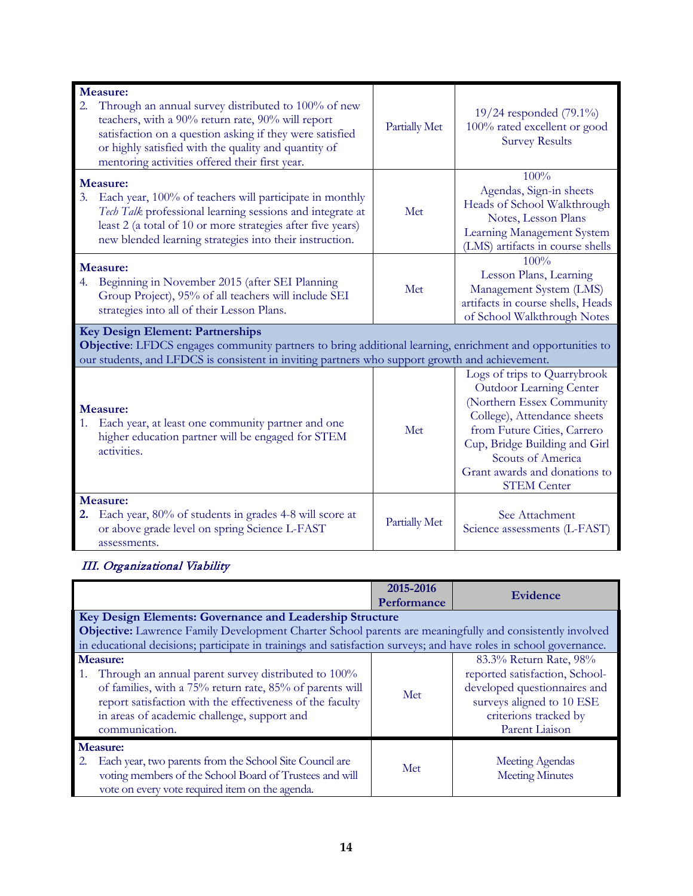| Measure:                                                                                                                                                                                                                                                                             |               |                                                                                                                                                                                                                                 |
|--------------------------------------------------------------------------------------------------------------------------------------------------------------------------------------------------------------------------------------------------------------------------------------|---------------|---------------------------------------------------------------------------------------------------------------------------------------------------------------------------------------------------------------------------------|
| Through an annual survey distributed to 100% of new<br>2.<br>teachers, with a 90% return rate, 90% will report<br>satisfaction on a question asking if they were satisfied<br>or highly satisfied with the quality and quantity of<br>mentoring activities offered their first year. | Partially Met | 19/24 responded $(79.1\%)$<br>100% rated excellent or good<br><b>Survey Results</b>                                                                                                                                             |
| Measure:<br>Each year, 100% of teachers will participate in monthly<br>3.<br>Tech Talk professional learning sessions and integrate at<br>least 2 (a total of 10 or more strategies after five years)<br>new blended learning strategies into their instruction.                     | Met           | 100%<br>Agendas, Sign-in sheets<br>Heads of School Walkthrough<br>Notes, Lesson Plans<br>Learning Management System<br>(LMS) artifacts in course shells                                                                         |
| Measure:<br>Beginning in November 2015 (after SEI Planning<br>4.<br>Group Project), 95% of all teachers will include SEI<br>strategies into all of their Lesson Plans.                                                                                                               | Met           | 100%<br>Lesson Plans, Learning<br>Management System (LMS)<br>artifacts in course shells, Heads<br>of School Walkthrough Notes                                                                                                   |
| Key Design Element: Partnerships                                                                                                                                                                                                                                                     |               |                                                                                                                                                                                                                                 |
| Objective: LFDCS engages community partners to bring additional learning, enrichment and opportunities to<br>our students, and LFDCS is consistent in inviting partners who support growth and achievement.                                                                          |               |                                                                                                                                                                                                                                 |
|                                                                                                                                                                                                                                                                                      |               | Logs of trips to Quarrybrook                                                                                                                                                                                                    |
| Measure:<br>Each year, at least one community partner and one<br>higher education partner will be engaged for STEM<br>activities.                                                                                                                                                    | Met           | Outdoor Learning Center<br>(Northern Essex Community<br>College), Attendance sheets<br>from Future Cities, Carrero<br>Cup, Bridge Building and Girl<br>Scouts of America<br>Grant awards and donations to<br><b>STEM Center</b> |
| Measure:<br>Each year, 80% of students in grades 4-8 will score at<br>2.<br>or above grade level on spring Science L-FAST<br>assessments.                                                                                                                                            | Partially Met | See Attachment<br>Science assessments (L-FAST)                                                                                                                                                                                  |

# III. Organizational Viability

|                                                                                                                                                                                                                                                                     | 2015-2016<br>Performance | Evidence                                                                                                                                                         |
|---------------------------------------------------------------------------------------------------------------------------------------------------------------------------------------------------------------------------------------------------------------------|--------------------------|------------------------------------------------------------------------------------------------------------------------------------------------------------------|
| Key Design Elements: Governance and Leadership Structure                                                                                                                                                                                                            |                          |                                                                                                                                                                  |
| <b>Objective:</b> Lawrence Family Development Charter School parents are meaningfully and consistently involved                                                                                                                                                     |                          |                                                                                                                                                                  |
| in educational decisions; participate in trainings and satisfaction surveys; and have roles in school governance.                                                                                                                                                   |                          |                                                                                                                                                                  |
| <b>Measure:</b><br>1. Through an annual parent survey distributed to 100%<br>of families, with a 75% return rate, 85% of parents will<br>report satisfaction with the effectiveness of the faculty<br>in areas of academic challenge, support and<br>communication. | Met                      | 83.3% Return Rate, 98%<br>reported satisfaction, School-<br>developed questionnaires and<br>surveys aligned to 10 ESE<br>criterions tracked by<br>Parent Liaison |
| <b>Measure:</b><br>Each year, two parents from the School Site Council are<br>voting members of the School Board of Trustees and will<br>vote on every vote required item on the agenda.                                                                            | Met                      | <b>Meeting Agendas</b><br><b>Meeting Minutes</b>                                                                                                                 |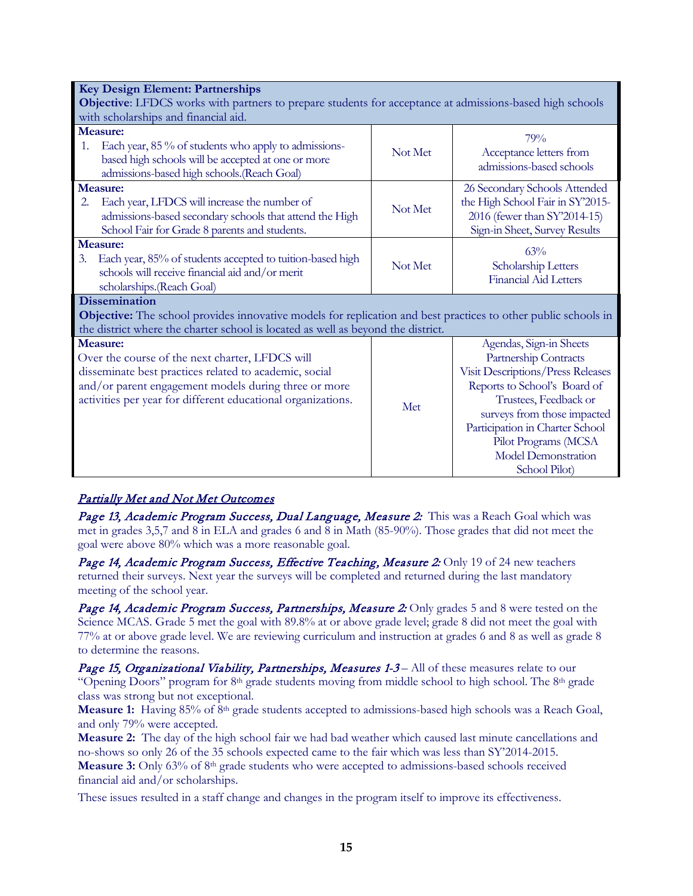| <b>Key Design Element: Partnerships</b>                                                                                                                                                                                                              |         |                                                                                                                                                                                                                                                                                         |
|------------------------------------------------------------------------------------------------------------------------------------------------------------------------------------------------------------------------------------------------------|---------|-----------------------------------------------------------------------------------------------------------------------------------------------------------------------------------------------------------------------------------------------------------------------------------------|
| Objective: LFDCS works with partners to prepare students for acceptance at admissions-based high schools                                                                                                                                             |         |                                                                                                                                                                                                                                                                                         |
| with scholarships and financial aid.                                                                                                                                                                                                                 |         |                                                                                                                                                                                                                                                                                         |
| <b>Measure:</b>                                                                                                                                                                                                                                      |         | 79%                                                                                                                                                                                                                                                                                     |
| Each year, 85 % of students who apply to admissions-<br>1.<br>based high schools will be accepted at one or more                                                                                                                                     | Not Met | Acceptance letters from<br>admissions-based schools                                                                                                                                                                                                                                     |
| admissions-based high schools. (Reach Goal)                                                                                                                                                                                                          |         |                                                                                                                                                                                                                                                                                         |
| <b>Measure:</b><br>Each year, LFDCS will increase the number of<br>2.<br>admissions-based secondary schools that attend the High<br>School Fair for Grade 8 parents and students.                                                                    | Not Met | 26 Secondary Schools Attended<br>the High School Fair in SY'2015-<br>2016 (fewer than SY'2014-15)<br>Sign-in Sheet, Survey Results                                                                                                                                                      |
| <b>Measure:</b>                                                                                                                                                                                                                                      |         | 63%                                                                                                                                                                                                                                                                                     |
| Each year, 85% of students accepted to tuition-based high<br>3.<br>schools will receive financial aid and/or merit<br>scholarships.(Reach Goal)                                                                                                      | Not Met | Scholarship Letters<br><b>Financial Aid Letters</b>                                                                                                                                                                                                                                     |
| <b>Dissemination</b><br><b>Objective:</b> The school provides innovative models for replication and best practices to other public schools in<br>the district where the charter school is located as well as beyond the district.                    |         |                                                                                                                                                                                                                                                                                         |
| <b>Measure:</b><br>Over the course of the next charter, LFDCS will<br>disseminate best practices related to academic, social<br>and/or parent engagement models during three or more<br>activities per year for different educational organizations. | Met     | Agendas, Sign-in Sheets<br>Partnership Contracts<br>Visit Descriptions/Press Releases<br>Reports to School's Board of<br>Trustees, Feedback or<br>surveys from those impacted<br>Participation in Charter School<br>Pilot Programs (MCSA<br><b>Model Demonstration</b><br>School Pilot) |

# Partially Met and Not Met Outcomes

Page 13, Academic Program Success, Dual Language, Measure 2: This was a Reach Goal which was met in grades 3,5,7 and 8 in ELA and grades 6 and 8 in Math (85-90%). Those grades that did not meet the goal were above 80% which was a more reasonable goal.

Page 14, Academic Program Success, Effective Teaching, Measure 2: Only 19 of 24 new teachers returned their surveys. Next year the surveys will be completed and returned during the last mandatory meeting of the school year.

Page 14, Academic Program Success, Partnerships, Measure 2: Only grades 5 and 8 were tested on the Science MCAS. Grade 5 met the goal with 89.8% at or above grade level; grade 8 did not meet the goal with 77% at or above grade level. We are reviewing curriculum and instruction at grades 6 and 8 as well as grade 8 to determine the reasons.

Page 15, Organizational Viability, Partnerships, Measures 1-3 – All of these measures relate to our "Opening Doors" program for 8<sup>th</sup> grade students moving from middle school to high school. The 8<sup>th</sup> grade class was strong but not exceptional.

**Measure 1:** Having 85% of 8<sup>th</sup> grade students accepted to admissions-based high schools was a Reach Goal, and only 79% were accepted.

**Measure 2:** The day of the high school fair we had bad weather which caused last minute cancellations and no-shows so only 26 of the 35 schools expected came to the fair which was less than SY'2014-2015. **Measure 3:** Only 63% of 8th grade students who were accepted to admissions-based schools received financial aid and/or scholarships.

These issues resulted in a staff change and changes in the program itself to improve its effectiveness.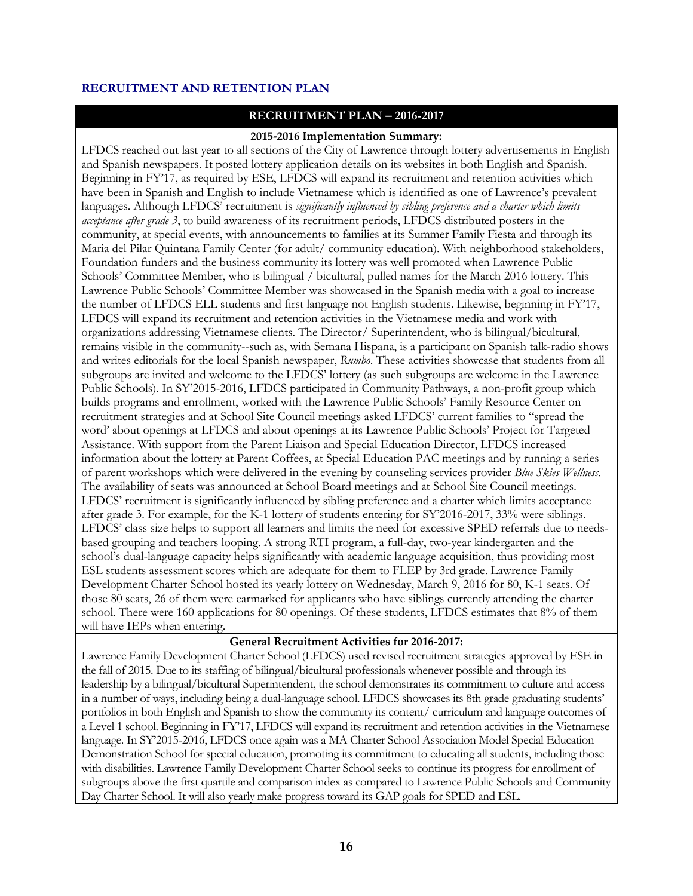#### **RECRUITMENT AND RETENTION PLAN**

# **RECRUITMENT PLAN – 2016-2017**

#### **2015-2016 Implementation Summary:**

LFDCS reached out last year to all sections of the City of Lawrence through lottery advertisements in English and Spanish newspapers. It posted lottery application details on its websites in both English and Spanish. Beginning in FY'17, as required by ESE, LFDCS will expand its recruitment and retention activities which have been in Spanish and English to include Vietnamese which is identified as one of Lawrence's prevalent languages. Although LFDCS' recruitment is *significantly influenced by sibling preference and a charter which limits acceptance after grade 3*, to build awareness of its recruitment periods, LFDCS distributed posters in the community, at special events, with announcements to families at its Summer Family Fiesta and through its Maria del Pilar Quintana Family Center (for adult/ community education). With neighborhood stakeholders, Foundation funders and the business community its lottery was well promoted when Lawrence Public Schools' Committee Member, who is bilingual / bicultural, pulled names for the March 2016 lottery. This Lawrence Public Schools' Committee Member was showcased in the Spanish media with a goal to increase the number of LFDCS ELL students and first language not English students. Likewise, beginning in FY'17, LFDCS will expand its recruitment and retention activities in the Vietnamese media and work with organizations addressing Vietnamese clients. The Director/ Superintendent, who is bilingual/bicultural, remains visible in the community--such as, with Semana Hispana, is a participant on Spanish talk-radio shows and writes editorials for the local Spanish newspaper, *Rumbo*. These activities showcase that students from all subgroups are invited and welcome to the LFDCS' lottery (as such subgroups are welcome in the Lawrence Public Schools). In SY'2015-2016, LFDCS participated in Community Pathways, a non-profit group which builds programs and enrollment, worked with the Lawrence Public Schools' Family Resource Center on recruitment strategies and at School Site Council meetings asked LFDCS' current families to "spread the word' about openings at LFDCS and about openings at its Lawrence Public Schools' Project for Targeted Assistance. With support from the Parent Liaison and Special Education Director, LFDCS increased information about the lottery at Parent Coffees, at Special Education PAC meetings and by running a series of parent workshops which were delivered in the evening by counseling services provider *Blue Skies Wellness.* The availability of seats was announced at School Board meetings and at School Site Council meetings. LFDCS' recruitment is significantly influenced by sibling preference and a charter which limits acceptance after grade 3. For example, for the K-1 lottery of students entering for SY'2016-2017, 33% were siblings. LFDCS' class size helps to support all learners and limits the need for excessive SPED referrals due to needsbased grouping and teachers looping. A strong RTI program, a full-day, two-year kindergarten and the school's dual-language capacity helps significantly with academic language acquisition, thus providing most ESL students assessment scores which are adequate for them to FLEP by 3rd grade. Lawrence Family Development Charter School hosted its yearly lottery on Wednesday, March 9, 2016 for 80, K-1 seats. Of those 80 seats, 26 of them were earmarked for applicants who have siblings currently attending the charter school. There were 160 applications for 80 openings. Of these students, LFDCS estimates that 8% of them will have IEPs when entering.

# **General Recruitment Activities for 2016-2017:**

Lawrence Family Development Charter School (LFDCS) used revised recruitment strategies approved by ESE in the fall of 2015. Due to its staffing of bilingual/bicultural professionals whenever possible and through its leadership by a bilingual/bicultural Superintendent, the school demonstrates its commitment to culture and access in a number of ways, including being a dual-language school. LFDCS showcases its 8th grade graduating students' portfolios in both English and Spanish to show the community its content/ curriculum and language outcomes of a Level 1 school. Beginning in FY'17, LFDCS will expand its recruitment and retention activities in the Vietnamese language. In SY'2015-2016, LFDCS once again was a MA Charter School Association Model Special Education Demonstration School for special education, promoting its commitment to educating all students, including those with disabilities. Lawrence Family Development Charter School seeks to continue its progress for enrollment of subgroups above the first quartile and comparison index as compared to Lawrence Public Schools and Community Day Charter School. It will also yearly make progress toward its GAP goals for SPED and ESL.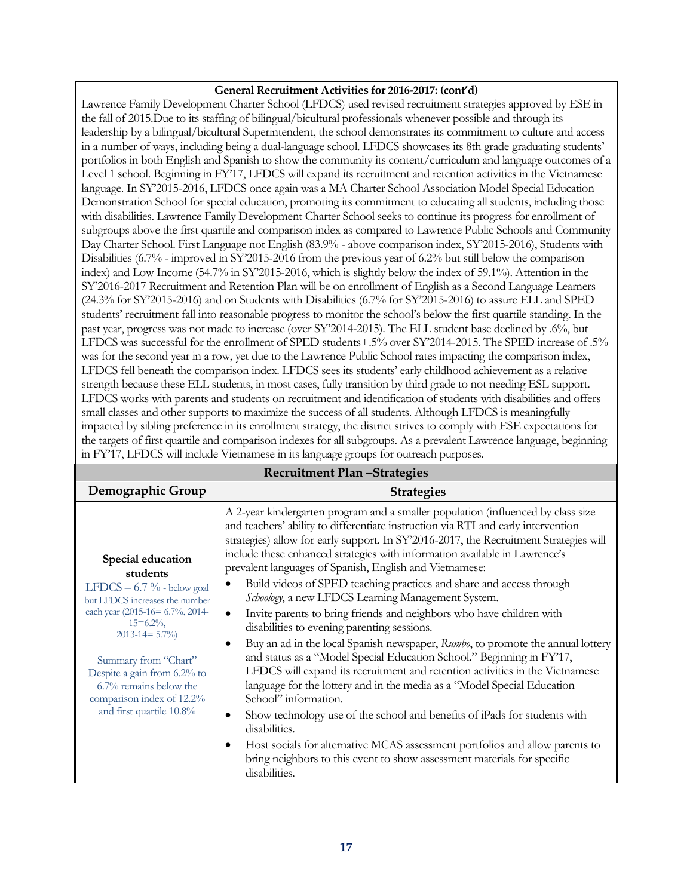# **General Recruitment Activities for 2016-2017: (cont'd)**

Lawrence Family Development Charter School (LFDCS) used revised recruitment strategies approved by ESE in the fall of 2015.Due to its staffing of bilingual/bicultural professionals whenever possible and through its leadership by a bilingual/bicultural Superintendent, the school demonstrates its commitment to culture and access in a number of ways, including being a dual-language school. LFDCS showcases its 8th grade graduating students' portfolios in both English and Spanish to show the community its content/curriculum and language outcomes of a Level 1 school. Beginning in FY'17, LFDCS will expand its recruitment and retention activities in the Vietnamese language. In SY'2015-2016, LFDCS once again was a MA Charter School Association Model Special Education Demonstration School for special education, promoting its commitment to educating all students, including those with disabilities. Lawrence Family Development Charter School seeks to continue its progress for enrollment of subgroups above the first quartile and comparison index as compared to Lawrence Public Schools and Community Day Charter School. First Language not English (83.9% - above comparison index, SY'2015-2016), Students with Disabilities (6.7% - improved in SY'2015-2016 from the previous year of 6.2% but still below the comparison index) and Low Income (54.7% in SY'2015-2016, which is slightly below the index of 59.1%). Attention in the SY'2016-2017 Recruitment and Retention Plan will be on enrollment of English as a Second Language Learners (24.3% for SY'2015-2016) and on Students with Disabilities (6.7% for SY'2015-2016) to assure ELL and SPED students' recruitment fall into reasonable progress to monitor the school's below the first quartile standing. In the past year, progress was not made to increase (over SY'2014-2015). The ELL student base declined by .6%, but LFDCS was successful for the enrollment of SPED students+.5% over SY'2014-2015. The SPED increase of .5% was for the second year in a row, yet due to the Lawrence Public School rates impacting the comparison index, LFDCS fell beneath the comparison index. LFDCS sees its students' early childhood achievement as a relative strength because these ELL students, in most cases, fully transition by third grade to not needing ESL support. LFDCS works with parents and students on recruitment and identification of students with disabilities and offers small classes and other supports to maximize the success of all students. Although LFDCS is meaningfully impacted by sibling preference in its enrollment strategy, the district strives to comply with ESE expectations for the targets of first quartile and comparison indexes for all subgroups. As a prevalent Lawrence language, beginning in FY'17, LFDCS will include Vietnamese in its language groups for outreach purposes.

| <b>Recruitment Plan-Strategies</b>                                                                                                                                                                                                                                                                                   |                                                                                                                                                                                                                                                                                                                                                                                                                                                                                                                                                                                                                                                                                                                                                                                                                                                                                                                                                                                                                                                                                                                                                                                                                                                                                           |  |
|----------------------------------------------------------------------------------------------------------------------------------------------------------------------------------------------------------------------------------------------------------------------------------------------------------------------|-------------------------------------------------------------------------------------------------------------------------------------------------------------------------------------------------------------------------------------------------------------------------------------------------------------------------------------------------------------------------------------------------------------------------------------------------------------------------------------------------------------------------------------------------------------------------------------------------------------------------------------------------------------------------------------------------------------------------------------------------------------------------------------------------------------------------------------------------------------------------------------------------------------------------------------------------------------------------------------------------------------------------------------------------------------------------------------------------------------------------------------------------------------------------------------------------------------------------------------------------------------------------------------------|--|
| Demographic Group                                                                                                                                                                                                                                                                                                    | <b>Strategies</b>                                                                                                                                                                                                                                                                                                                                                                                                                                                                                                                                                                                                                                                                                                                                                                                                                                                                                                                                                                                                                                                                                                                                                                                                                                                                         |  |
| Special education<br>students<br>LFDCS $-6.7\%$ - below goal<br>but LFDCS increases the number<br>each year (2015-16= 6.7%, 2014-<br>$15 = 6.2\%$ ,<br>$2013 - 14 = 5.7\%$<br>Summary from "Chart"<br>Despite a gain from 6.2% to<br>6.7% remains below the<br>comparison index of 12.2%<br>and first quartile 10.8% | A 2-year kindergarten program and a smaller population (influenced by class size<br>and teachers' ability to differentiate instruction via RTI and early intervention<br>strategies) allow for early support. In SY'2016-2017, the Recruitment Strategies will<br>include these enhanced strategies with information available in Lawrence's<br>prevalent languages of Spanish, English and Vietnamese:<br>Build videos of SPED teaching practices and share and access through<br>Schoology, a new LFDCS Learning Management System.<br>Invite parents to bring friends and neighbors who have children with<br>٠<br>disabilities to evening parenting sessions.<br>Buy an ad in the local Spanish newspaper, Rumbo, to promote the annual lottery<br>and status as a "Model Special Education School." Beginning in FY'17,<br>LFDCS will expand its recruitment and retention activities in the Vietnamese<br>language for the lottery and in the media as a "Model Special Education<br>School" information.<br>Show technology use of the school and benefits of iPads for students with<br>disabilities.<br>Host socials for alternative MCAS assessment portfolios and allow parents to<br>bring neighbors to this event to show assessment materials for specific<br>disabilities. |  |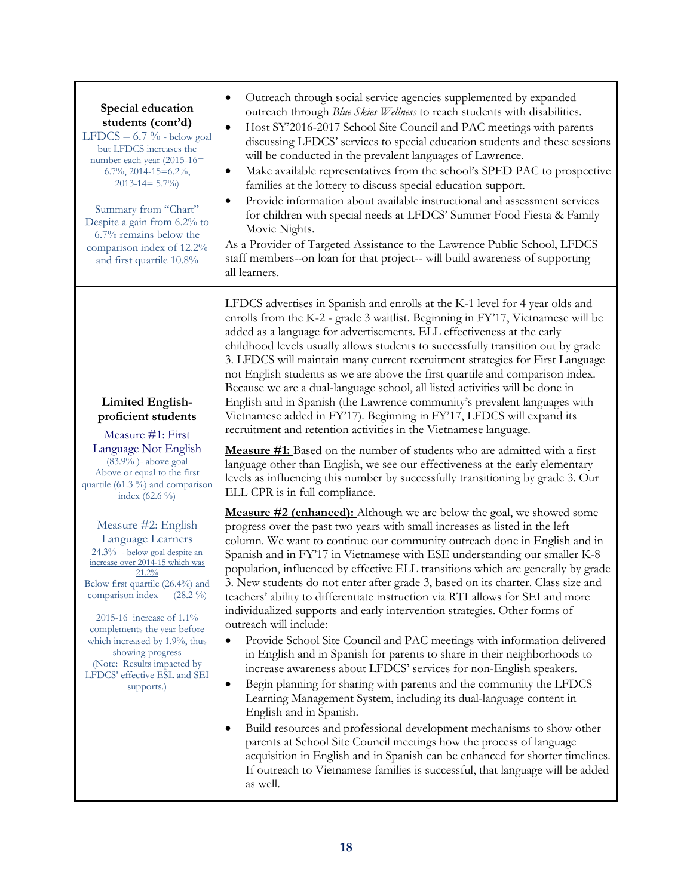| Special education<br>students (cont'd)<br>LFDCS $-6.7\%$ - below goal<br>but LFDCS increases the<br>number each year (2015-16=<br>$6.7\%$ , 2014-15=6.2%,<br>$2013 - 14 = 5.7\%$<br>Summary from "Chart"<br>Despite a gain from 6.2% to<br>6.7% remains below the<br>comparison index of 12.2%<br>and first quartile 10.8%                                                              | Outreach through social service agencies supplemented by expanded<br>$\bullet$<br>outreach through Blue Skies Wellness to reach students with disabilities.<br>Host SY'2016-2017 School Site Council and PAC meetings with parents<br>$\bullet$<br>discussing LFDCS' services to special education students and these sessions<br>will be conducted in the prevalent languages of Lawrence.<br>Make available representatives from the school's SPED PAC to prospective<br>٠<br>families at the lottery to discuss special education support.<br>Provide information about available instructional and assessment services<br>٠<br>for children with special needs at LFDCS' Summer Food Fiesta & Family<br>Movie Nights.<br>As a Provider of Targeted Assistance to the Lawrence Public School, LFDCS<br>staff members--on loan for that project-- will build awareness of supporting<br>all learners.                                                                                                                                                                                                                                                                                                                                                                                                                                                                                                                                                 |
|-----------------------------------------------------------------------------------------------------------------------------------------------------------------------------------------------------------------------------------------------------------------------------------------------------------------------------------------------------------------------------------------|---------------------------------------------------------------------------------------------------------------------------------------------------------------------------------------------------------------------------------------------------------------------------------------------------------------------------------------------------------------------------------------------------------------------------------------------------------------------------------------------------------------------------------------------------------------------------------------------------------------------------------------------------------------------------------------------------------------------------------------------------------------------------------------------------------------------------------------------------------------------------------------------------------------------------------------------------------------------------------------------------------------------------------------------------------------------------------------------------------------------------------------------------------------------------------------------------------------------------------------------------------------------------------------------------------------------------------------------------------------------------------------------------------------------------------------------------------|
| <b>Limited English-</b><br>proficient students<br>Measure #1: First<br>Language Not English<br>(83.9%)- above goal<br>Above or equal to the first<br>quartile (61.3 %) and comparison<br>index $(62.6\%)$                                                                                                                                                                               | LFDCS advertises in Spanish and enrolls at the K-1 level for 4 year olds and<br>enrolls from the K-2 - grade 3 waitlist. Beginning in FY'17, Vietnamese will be<br>added as a language for advertisements. ELL effectiveness at the early<br>childhood levels usually allows students to successfully transition out by grade<br>3. LFDCS will maintain many current recruitment strategies for First Language<br>not English students as we are above the first quartile and comparison index.<br>Because we are a dual-language school, all listed activities will be done in<br>English and in Spanish (the Lawrence community's prevalent languages with<br>Vietnamese added in FY'17). Beginning in FY'17, LFDCS will expand its<br>recruitment and retention activities in the Vietnamese language.<br><b>Measure #1:</b> Based on the number of students who are admitted with a first<br>language other than English, we see our effectiveness at the early elementary<br>levels as influencing this number by successfully transitioning by grade 3. Our<br>ELL CPR is in full compliance.                                                                                                                                                                                                                                                                                                                                                     |
| Measure #2: English<br>Language Learners<br>24.3% - below goal despite an<br>increase over 2014-15 which was<br>21.2%<br>Below first quartile (26.4%) and<br>comparison index $(28.2\%)$<br>2015-16 increase of $1.1\%$<br>complements the year before<br>which increased by 1.9%, thus<br>showing progress<br>(Note: Results impacted by<br>LFDCS' effective ESL and SEI<br>supports.) | <b>Measure #2 (enhanced):</b> Although we are below the goal, we showed some<br>progress over the past two years with small increases as listed in the left<br>column. We want to continue our community outreach done in English and in<br>Spanish and in FY'17 in Vietnamese with ESE understanding our smaller K-8<br>population, influenced by effective ELL transitions which are generally by grade<br>3. New students do not enter after grade 3, based on its charter. Class size and<br>teachers' ability to differentiate instruction via RTI allows for SEI and more<br>individualized supports and early intervention strategies. Other forms of<br>outreach will include:<br>Provide School Site Council and PAC meetings with information delivered<br>$\bullet$<br>in English and in Spanish for parents to share in their neighborhoods to<br>increase awareness about LFDCS' services for non-English speakers.<br>Begin planning for sharing with parents and the community the LFDCS<br>$\bullet$<br>Learning Management System, including its dual-language content in<br>English and in Spanish.<br>Build resources and professional development mechanisms to show other<br>٠<br>parents at School Site Council meetings how the process of language<br>acquisition in English and in Spanish can be enhanced for shorter timelines.<br>If outreach to Vietnamese families is successful, that language will be added<br>as well. |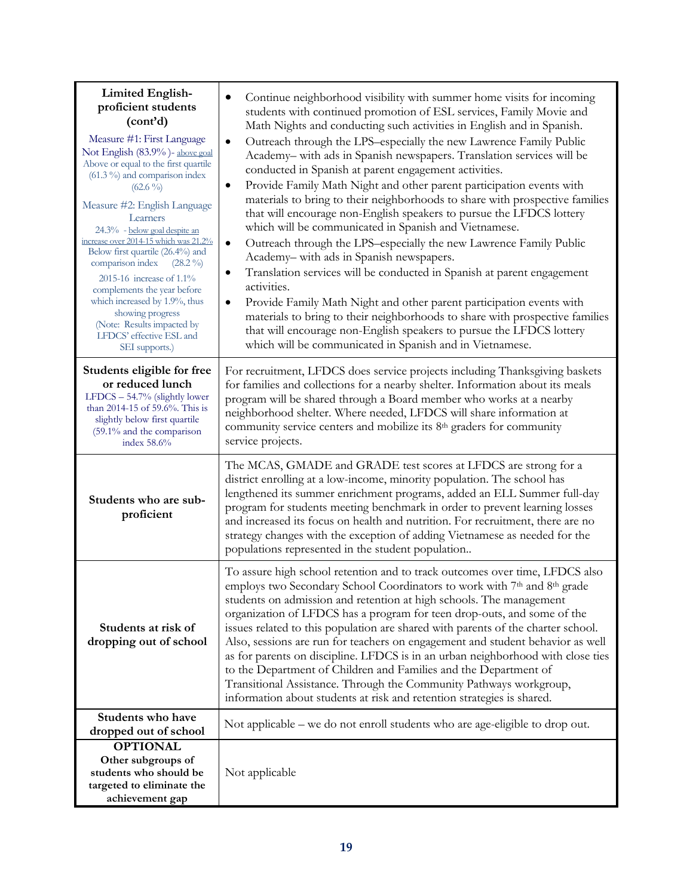| <b>Limited English-</b><br>proficient students<br>(cont'd)<br>Measure #1: First Language<br>Not English (83.9%)- above goal<br>Above or equal to the first quartile<br>$(61.3\%)$ and comparison index<br>$(62.6\%)$<br>Measure #2: English Language<br>Learners<br>24.3% - below goal despite an<br>increase over 2014-15 which was 21.2%<br>Below first quartile (26.4%) and<br>comparison index<br>$(28.2\%)$<br>2015-16 increase of 1.1%<br>complements the year before<br>which increased by 1.9%, thus<br>showing progress<br>(Note: Results impacted by<br>LFDCS' effective ESL and<br>SEI supports.) | Continue neighborhood visibility with summer home visits for incoming<br>students with continued promotion of ESL services, Family Movie and<br>Math Nights and conducting such activities in English and in Spanish.<br>Outreach through the LPS-especially the new Lawrence Family Public<br>$\bullet$<br>Academy- with ads in Spanish newspapers. Translation services will be<br>conducted in Spanish at parent engagement activities.<br>Provide Family Math Night and other parent participation events with<br>٠<br>materials to bring to their neighborhoods to share with prospective families<br>that will encourage non-English speakers to pursue the LFDCS lottery<br>which will be communicated in Spanish and Vietnamese.<br>Outreach through the LPS-especially the new Lawrence Family Public<br>$\bullet$<br>Academy-with ads in Spanish newspapers.<br>Translation services will be conducted in Spanish at parent engagement<br>٠<br>activities.<br>Provide Family Math Night and other parent participation events with<br>٠<br>materials to bring to their neighborhoods to share with prospective families<br>that will encourage non-English speakers to pursue the LFDCS lottery<br>which will be communicated in Spanish and in Vietnamese. |
|--------------------------------------------------------------------------------------------------------------------------------------------------------------------------------------------------------------------------------------------------------------------------------------------------------------------------------------------------------------------------------------------------------------------------------------------------------------------------------------------------------------------------------------------------------------------------------------------------------------|-----------------------------------------------------------------------------------------------------------------------------------------------------------------------------------------------------------------------------------------------------------------------------------------------------------------------------------------------------------------------------------------------------------------------------------------------------------------------------------------------------------------------------------------------------------------------------------------------------------------------------------------------------------------------------------------------------------------------------------------------------------------------------------------------------------------------------------------------------------------------------------------------------------------------------------------------------------------------------------------------------------------------------------------------------------------------------------------------------------------------------------------------------------------------------------------------------------------------------------------------------------------------|
| Students eligible for free<br>or reduced lunch<br>LFDCS - 54.7% (slightly lower<br>than 2014-15 of 59.6%. This is<br>slightly below first quartile<br>(59.1% and the comparison<br>index 58.6%                                                                                                                                                                                                                                                                                                                                                                                                               | For recruitment, LFDCS does service projects including Thanksgiving baskets<br>for families and collections for a nearby shelter. Information about its meals<br>program will be shared through a Board member who works at a nearby<br>neighborhood shelter. Where needed, LFDCS will share information at<br>community service centers and mobilize its 8 <sup>th</sup> graders for community<br>service projects.                                                                                                                                                                                                                                                                                                                                                                                                                                                                                                                                                                                                                                                                                                                                                                                                                                                  |
| Students who are sub-<br>proficient                                                                                                                                                                                                                                                                                                                                                                                                                                                                                                                                                                          | The MCAS, GMADE and GRADE test scores at LFDCS are strong for a<br>district enrolling at a low-income, minority population. The school has<br>lengthened its summer enrichment programs, added an ELL Summer full-day<br>program for students meeting benchmark in order to prevent learning losses<br>and increased its focus on health and nutrition. For recruitment, there are no<br>strategy changes with the exception of adding Vietnamese as needed for the<br>populations represented in the student population                                                                                                                                                                                                                                                                                                                                                                                                                                                                                                                                                                                                                                                                                                                                              |
| Students at risk of<br>dropping out of school                                                                                                                                                                                                                                                                                                                                                                                                                                                                                                                                                                | To assure high school retention and to track outcomes over time, LFDCS also<br>employs two Secondary School Coordinators to work with 7th and 8th grade<br>students on admission and retention at high schools. The management<br>organization of LFDCS has a program for teen drop-outs, and some of the<br>issues related to this population are shared with parents of the charter school.<br>Also, sessions are run for teachers on engagement and student behavior as well<br>as for parents on discipline. LFDCS is in an urban neighborhood with close ties<br>to the Department of Children and Families and the Department of<br>Transitional Assistance. Through the Community Pathways workgroup,<br>information about students at risk and retention strategies is shared.                                                                                                                                                                                                                                                                                                                                                                                                                                                                                |
| Students who have<br>dropped out of school                                                                                                                                                                                                                                                                                                                                                                                                                                                                                                                                                                   | Not applicable – we do not enroll students who are age-eligible to drop out.                                                                                                                                                                                                                                                                                                                                                                                                                                                                                                                                                                                                                                                                                                                                                                                                                                                                                                                                                                                                                                                                                                                                                                                          |
| <b>OPTIONAL</b><br>Other subgroups of<br>students who should be<br>targeted to eliminate the<br>achievement gap                                                                                                                                                                                                                                                                                                                                                                                                                                                                                              | Not applicable                                                                                                                                                                                                                                                                                                                                                                                                                                                                                                                                                                                                                                                                                                                                                                                                                                                                                                                                                                                                                                                                                                                                                                                                                                                        |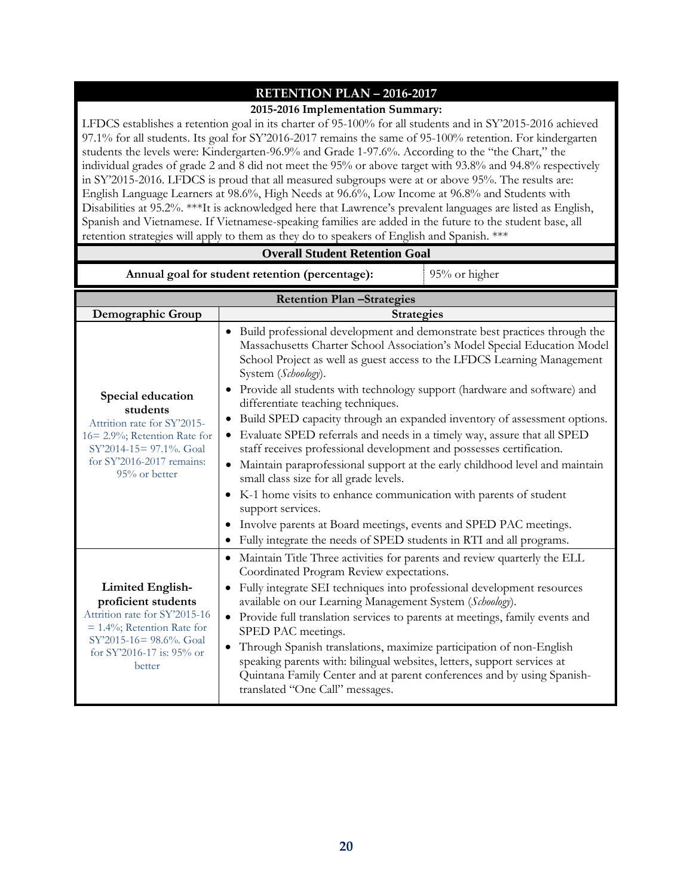# **RETENTION PLAN – 2016-2017**

#### **2015-2016 Implementation Summary:**

LFDCS establishes a retention goal in its charter of 95-100% for all students and in SY'2015-2016 achieved 97.1% for all students. Its goal for SY'2016-2017 remains the same of 95-100% retention. For kindergarten students the levels were: Kindergarten-96.9% and Grade 1-97.6%. According to the "the Chart," the individual grades of grade 2 and 8 did not meet the 95% or above target with 93.8% and 94.8% respectively in SY'2015-2016. LFDCS is proud that all measured subgroups were at or above 95%. The results are: English Language Learners at 98.6%, High Needs at 96.6%, Low Income at 96.8% and Students with Disabilities at 95.2%. \*\*\*It is acknowledged here that Lawrence's prevalent languages are listed as English, Spanish and Vietnamese. If Vietnamese-speaking families are added in the future to the student base, all retention strategies will apply to them as they do to speakers of English and Spanish. \*\*\*

| <b>Overall Student Retention Goal</b>                                                                                                                                                  |                                                                                                                                                                                                                                                                                                                                                                                                                                                                                                                                                                                                                                                                                                                                                                                                                                                                                                                                                                                           |  |  |
|----------------------------------------------------------------------------------------------------------------------------------------------------------------------------------------|-------------------------------------------------------------------------------------------------------------------------------------------------------------------------------------------------------------------------------------------------------------------------------------------------------------------------------------------------------------------------------------------------------------------------------------------------------------------------------------------------------------------------------------------------------------------------------------------------------------------------------------------------------------------------------------------------------------------------------------------------------------------------------------------------------------------------------------------------------------------------------------------------------------------------------------------------------------------------------------------|--|--|
| Annual goal for student retention (percentage):<br>95% or higher                                                                                                                       |                                                                                                                                                                                                                                                                                                                                                                                                                                                                                                                                                                                                                                                                                                                                                                                                                                                                                                                                                                                           |  |  |
| <b>Retention Plan-Strategies</b>                                                                                                                                                       |                                                                                                                                                                                                                                                                                                                                                                                                                                                                                                                                                                                                                                                                                                                                                                                                                                                                                                                                                                                           |  |  |
| Demographic Group                                                                                                                                                                      | <b>Strategies</b>                                                                                                                                                                                                                                                                                                                                                                                                                                                                                                                                                                                                                                                                                                                                                                                                                                                                                                                                                                         |  |  |
| Special education<br>students<br>Attrition rate for SY'2015-<br>16=2.9%; Retention Rate for<br>SY'2014-15= 97.1%. Goal<br>for SY'2016-2017 remains:<br>95% or better                   | Build professional development and demonstrate best practices through the<br>Massachusetts Charter School Association's Model Special Education Model<br>School Project as well as guest access to the LFDCS Learning Management<br>System (Schoology).<br>Provide all students with technology support (hardware and software) and<br>differentiate teaching techniques.<br>Build SPED capacity through an expanded inventory of assessment options.<br>٠<br>Evaluate SPED referrals and needs in a timely way, assure that all SPED<br>$\bullet$<br>staff receives professional development and possesses certification.<br>Maintain paraprofessional support at the early childhood level and maintain<br>small class size for all grade levels.<br>• K-1 home visits to enhance communication with parents of student<br>support services.<br>Involve parents at Board meetings, events and SPED PAC meetings.<br>Fully integrate the needs of SPED students in RTI and all programs. |  |  |
| Maintain Title Three activities for parents and review quarterly the ELL<br>$\bullet$                                                                                                  |                                                                                                                                                                                                                                                                                                                                                                                                                                                                                                                                                                                                                                                                                                                                                                                                                                                                                                                                                                                           |  |  |
| <b>Limited English-</b><br>proficient students<br>Attrition rate for SY'2015-16<br>$= 1.4\%$ ; Retention Rate for<br>SY'2015-16= 98.6%. Goal<br>for SY'2016-17 is: $95\%$ or<br>better | Coordinated Program Review expectations.<br>Fully integrate SEI techniques into professional development resources<br>available on our Learning Management System (Schoology).<br>• Provide full translation services to parents at meetings, family events and<br>SPED PAC meetings.<br>Through Spanish translations, maximize participation of non-English<br>speaking parents with: bilingual websites, letters, support services at<br>Quintana Family Center and at parent conferences and by using Spanish-<br>translated "One Call" messages.                                                                                                                                                                                                                                                                                                                                                                                                                                      |  |  |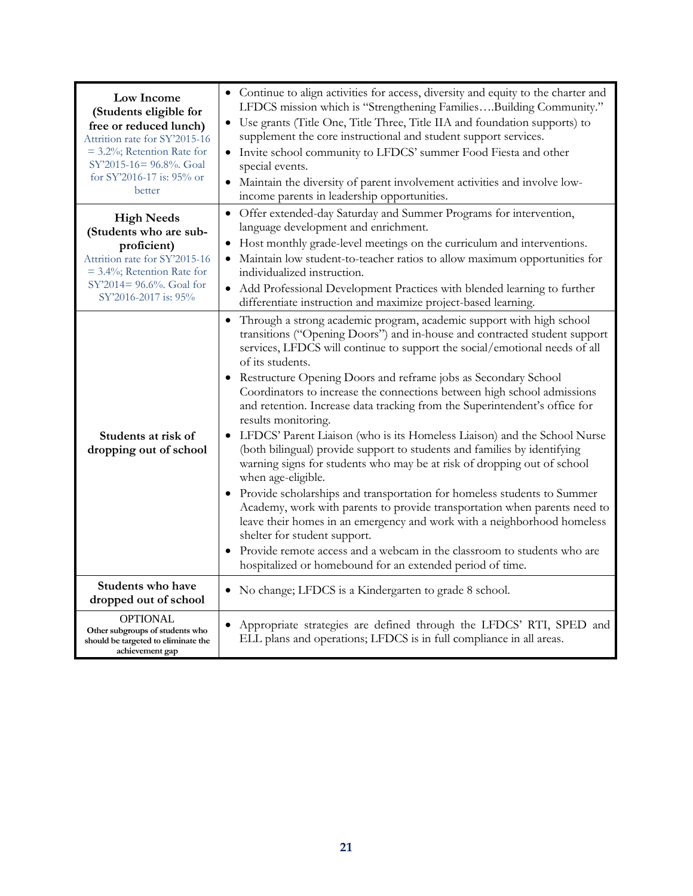| Low Income<br>(Students eligible for<br>free or reduced lunch)<br>Attrition rate for SY'2015-16<br>$=$ 3.2%; Retention Rate for<br>SY'2015-16= 96.8%. Goal<br>for SY'2016-17 is: $95\%$ or<br>better | • Continue to align activities for access, diversity and equity to the charter and<br>LFDCS mission which is "Strengthening FamiliesBuilding Community."<br>• Use grants (Title One, Title Three, Title IIA and foundation supports) to<br>supplement the core instructional and student support services.<br>• Invite school community to LFDCS' summer Food Fiesta and other<br>special events.<br>Maintain the diversity of parent involvement activities and involve low-<br>income parents in leadership opportunities.                                                                                                                                                                                                                                                                                                                                                                                                                                                                                                                                                                                                                                                             |
|------------------------------------------------------------------------------------------------------------------------------------------------------------------------------------------------------|------------------------------------------------------------------------------------------------------------------------------------------------------------------------------------------------------------------------------------------------------------------------------------------------------------------------------------------------------------------------------------------------------------------------------------------------------------------------------------------------------------------------------------------------------------------------------------------------------------------------------------------------------------------------------------------------------------------------------------------------------------------------------------------------------------------------------------------------------------------------------------------------------------------------------------------------------------------------------------------------------------------------------------------------------------------------------------------------------------------------------------------------------------------------------------------|
| <b>High Needs</b><br>(Students who are sub-<br>proficient)<br>Attrition rate for SY'2015-16<br>$=$ 3.4%; Retention Rate for<br>SY'2014= 96.6%. Goal for<br>SY'2016-2017 is: 95%                      | • Offer extended-day Saturday and Summer Programs for intervention,<br>language development and enrichment.<br>Host monthly grade-level meetings on the curriculum and interventions.<br>Maintain low student-to-teacher ratios to allow maximum opportunities for<br>individualized instruction.<br>Add Professional Development Practices with blended learning to further<br>differentiate instruction and maximize project-based learning.                                                                                                                                                                                                                                                                                                                                                                                                                                                                                                                                                                                                                                                                                                                                           |
| Students at risk of<br>dropping out of school                                                                                                                                                        | Through a strong academic program, academic support with high school<br>transitions ("Opening Doors") and in-house and contracted student support<br>services, LFDCS will continue to support the social/emotional needs of all<br>of its students.<br>Restructure Opening Doors and reframe jobs as Secondary School<br>Coordinators to increase the connections between high school admissions<br>and retention. Increase data tracking from the Superintendent's office for<br>results monitoring.<br>LFDCS' Parent Liaison (who is its Homeless Liaison) and the School Nurse<br>$\bullet$<br>(both bilingual) provide support to students and families by identifying<br>warning signs for students who may be at risk of dropping out of school<br>when age-eligible.<br>• Provide scholarships and transportation for homeless students to Summer<br>Academy, work with parents to provide transportation when parents need to<br>leave their homes in an emergency and work with a neighborhood homeless<br>shelter for student support.<br>Provide remote access and a webcam in the classroom to students who are<br>hospitalized or homebound for an extended period of time. |
| Students who have<br>dropped out of school                                                                                                                                                           | • No change; LFDCS is a Kindergarten to grade 8 school.                                                                                                                                                                                                                                                                                                                                                                                                                                                                                                                                                                                                                                                                                                                                                                                                                                                                                                                                                                                                                                                                                                                                  |
| <b>OPTIONAL</b><br>Other subgroups of students who<br>should be targeted to eliminate the<br>achievement gap                                                                                         | Appropriate strategies are defined through the LFDCS' RTI, SPED and<br>ELL plans and operations; LFDCS is in full compliance in all areas.                                                                                                                                                                                                                                                                                                                                                                                                                                                                                                                                                                                                                                                                                                                                                                                                                                                                                                                                                                                                                                               |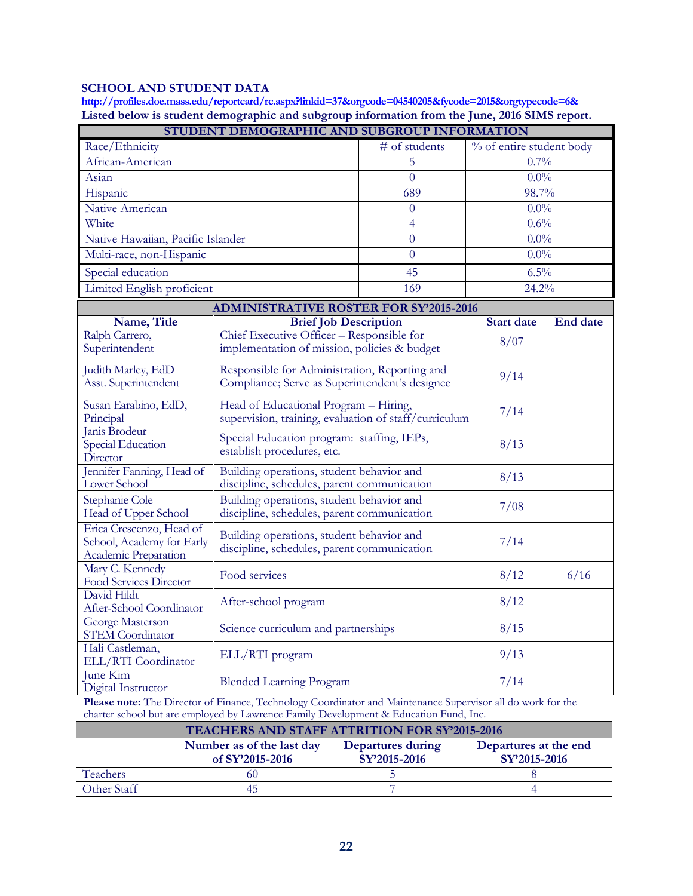# **SCHOOL AND STUDENT DATA**

**<http://profiles.doe.mass.edu/reportcard/rc.aspx?linkid=37&orgcode=04540205&fycode=2015&orgtypecode=6&> Listed below is student demographic and subgroup information from the June, 2016 SIMS report.**

| STUDENT DEMOGRAPHIC AND SUBGROUP INFORMATION      |                                                       |                                                |                          |                 |
|---------------------------------------------------|-------------------------------------------------------|------------------------------------------------|--------------------------|-----------------|
| Race/Ethnicity                                    |                                                       | # of students                                  | % of entire student body |                 |
| African-American                                  |                                                       | 5                                              | 0.7%                     |                 |
| Asian                                             |                                                       | $\overline{0}$                                 | $0.0\%$                  |                 |
| Hispanic                                          |                                                       | 689                                            | 98.7%                    |                 |
| Native American                                   |                                                       | $\theta$                                       | $0.0\%$                  |                 |
| White                                             |                                                       | $\overline{4}$                                 | 0.6%                     |                 |
| Native Hawaiian, Pacific Islander                 |                                                       | $\theta$                                       | $0.0\%$                  |                 |
| Multi-race, non-Hispanic                          |                                                       | $\theta$                                       | $0.0\%$                  |                 |
| Special education                                 |                                                       | 45                                             | 6.5%                     |                 |
| Limited English proficient                        |                                                       | 169                                            | 24.2%                    |                 |
|                                                   | <b>ADMINISTRATIVE ROSTER FOR SY'2015-2016</b>         |                                                |                          |                 |
| Name, Title                                       | <b>Brief Job Description</b>                          |                                                | <b>Start date</b>        | <b>End date</b> |
| Ralph Carrero,                                    | Chief Executive Officer - Responsible for             |                                                | 8/07                     |                 |
| Superintendent                                    | implementation of mission, policies & budget          |                                                |                          |                 |
| Judith Marley, EdD                                | Responsible for Administration, Reporting and         |                                                | 9/14                     |                 |
| Asst. Superintendent                              |                                                       | Compliance; Serve as Superintendent's designee |                          |                 |
| Susan Earabino, EdD,                              | Head of Educational Program - Hiring,                 |                                                | 7/14                     |                 |
| Principal                                         | supervision, training, evaluation of staff/curriculum |                                                |                          |                 |
| Janis Brodeur<br>Special Education                | Special Education program: staffing, IEPs,            |                                                | 8/13                     |                 |
| Director                                          | establish procedures, etc.                            |                                                |                          |                 |
| Jennifer Fanning, Head of                         | Building operations, student behavior and             |                                                | 8/13                     |                 |
| <b>Lower School</b>                               | discipline, schedules, parent communication           |                                                |                          |                 |
| Stephanie Cole                                    | Building operations, student behavior and             |                                                | 7/08                     |                 |
| Head of Upper School                              | discipline, schedules, parent communication           |                                                |                          |                 |
| Erica Crescenzo, Head of                          | Building operations, student behavior and             |                                                |                          |                 |
| School, Academy for Early<br>Academic Preparation | discipline, schedules, parent communication           |                                                | 7/14                     |                 |
| Mary C. Kennedy                                   |                                                       |                                                |                          |                 |
| Food Services Director                            | Food services                                         |                                                | 8/12                     | 6/16            |
| David Hildt                                       | After-school program                                  |                                                | 8/12                     |                 |
| After-School Coordinator                          |                                                       |                                                |                          |                 |
| George Masterson<br><b>STEM Coordinator</b>       | Science curriculum and partnerships                   |                                                | 8/15                     |                 |
| Hali Castleman,                                   |                                                       |                                                | 9/13                     |                 |
| ELL/RTI Coordinator                               | ELL/RTI program                                       |                                                |                          |                 |
| <b>June Kim</b><br>Digital Instructor             | <b>Blended Learning Program</b>                       |                                                | 7/14                     |                 |

**Please note:** The Director of Finance, Technology Coordinator and Maintenance Supervisor all do work for the charter school but are employed by Lawrence Family Development & Education Fund, Inc.

| <b>TEACHERS AND STAFF ATTRITION FOR SY'2015-2016</b> |                                                                                                                            |  |  |  |
|------------------------------------------------------|----------------------------------------------------------------------------------------------------------------------------|--|--|--|
|                                                      | Number as of the last day<br>Departures during<br>Departures at the end<br>SY'2015-2016<br>SY'2015-2016<br>of SY'2015-2016 |  |  |  |
| Teachers                                             | 60                                                                                                                         |  |  |  |
| Other Staff                                          | 45                                                                                                                         |  |  |  |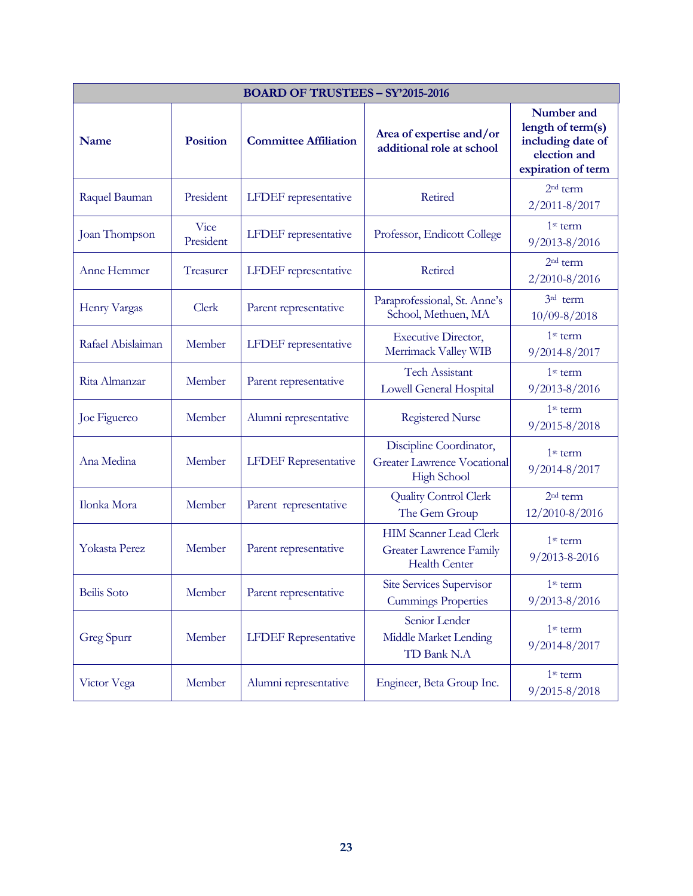| <b>BOARD OF TRUSTEES - SY'2015-2016</b> |                          |                              |                                                                                         |                                                                                            |
|-----------------------------------------|--------------------------|------------------------------|-----------------------------------------------------------------------------------------|--------------------------------------------------------------------------------------------|
| <b>Name</b>                             | <b>Position</b>          | <b>Committee Affiliation</b> | Area of expertise and/or<br>additional role at school                                   | Number and<br>length of term(s)<br>including date of<br>election and<br>expiration of term |
| Raquel Bauman                           | President                | LFDEF representative         | Retired                                                                                 | 2 <sup>nd</sup> term<br>$2/2011 - 8/2017$                                                  |
| Joan Thompson                           | <b>Vice</b><br>President | <b>LFDEF</b> representative  | Professor, Endicott College                                                             | $1st$ term<br>$9/2013 - 8/2016$                                                            |
| Anne Hemmer                             | Treasurer                | LFDEF representative         | Retired                                                                                 | $2nd$ term<br>2/2010-8/2016                                                                |
| Henry Vargas                            | Clerk                    | Parent representative        | Paraprofessional, St. Anne's<br>School, Methuen, MA                                     | 3rd term<br>$10/09 - 8/2018$                                                               |
| Rafael Abislaiman                       | Member                   | LFDEF representative         | <b>Executive Director,</b><br>Merrimack Valley WIB                                      | 1 <sup>st</sup> term<br>9/2014-8/2017                                                      |
| Rita Almanzar                           | Member                   | Parent representative        | <b>Tech Assistant</b><br>Lowell General Hospital                                        | $1st$ term<br>$9/2013 - 8/2016$                                                            |
| Joe Figuereo                            | Member                   | Alumni representative        | <b>Registered Nurse</b>                                                                 | $1st$ term<br>$9/2015 - 8/2018$                                                            |
| Ana Medina                              | Member                   | <b>LFDEF</b> Representative  | Discipline Coordinator,<br><b>Greater Lawrence Vocational</b><br><b>High School</b>     | $1st$ term<br>$9/2014 - 8/2017$                                                            |
| Ilonka Mora                             | Member                   | Parent representative        | <b>Quality Control Clerk</b><br>The Gem Group                                           | $2nd$ term<br>12/2010-8/2016                                                               |
| Yokasta Perez                           | Member                   | Parent representative        | <b>HIM Scanner Lead Clerk</b><br><b>Greater Lawrence Family</b><br><b>Health Center</b> | $1st$ term<br>9/2013-8-2016                                                                |
| <b>Beilis</b> Soto                      | Member                   | Parent representative        | <b>Site Services Supervisor</b><br><b>Cummings Properties</b>                           | $1st$ term<br>9/2013-8/2016                                                                |
| Greg Spurr                              | Member                   | <b>LFDEF</b> Representative  | Senior Lender<br>Middle Market Lending<br>TD Bank N.A                                   | 1 <sup>st</sup> term<br>$9/2014 - 8/2017$                                                  |
| Victor Vega                             | Member                   | Alumni representative        | Engineer, Beta Group Inc.                                                               | 1 <sup>st</sup> term<br>$9/2015 - 8/2018$                                                  |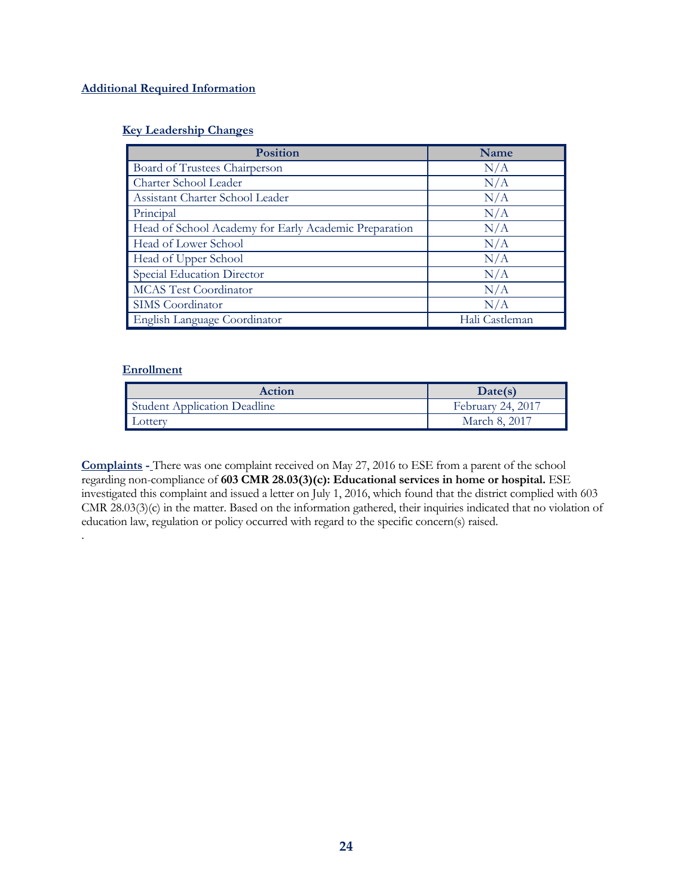# **Additional Required Information**

# **Key Leadership Changes**

| <b>Position</b>                                       | Name           |
|-------------------------------------------------------|----------------|
| Board of Trustees Chairperson                         | N/A            |
| Charter School Leader                                 | N/A            |
| Assistant Charter School Leader                       | N/A            |
| Principal                                             | N/A            |
| Head of School Academy for Early Academic Preparation | N/A            |
| Head of Lower School                                  | N/A            |
| Head of Upper School                                  | N/A            |
| Special Education Director                            | N/A            |
| <b>MCAS Test Coordinator</b>                          | N/A            |
| SIMS Coordinator                                      | N/A            |
| English Language Coordinator                          | Hali Castleman |

# **Enrollment**

.

| <b>Action</b>                       | Date(s)           |
|-------------------------------------|-------------------|
| <b>Student Application Deadline</b> | February 24, 2017 |
| ∟otterv                             | March 8, 2017     |

**Complaints -** There was one complaint received on May 27, 2016 to ESE from a parent of the school regarding non-compliance of **603 CMR 28.03(3)(c): Educational services in home or hospital.** ESE investigated this complaint and issued a letter on July 1, 2016, which found that the district complied with 603 CMR 28.03(3)(c) in the matter. Based on the information gathered, their inquiries indicated that no violation of education law, regulation or policy occurred with regard to the specific concern(s) raised.